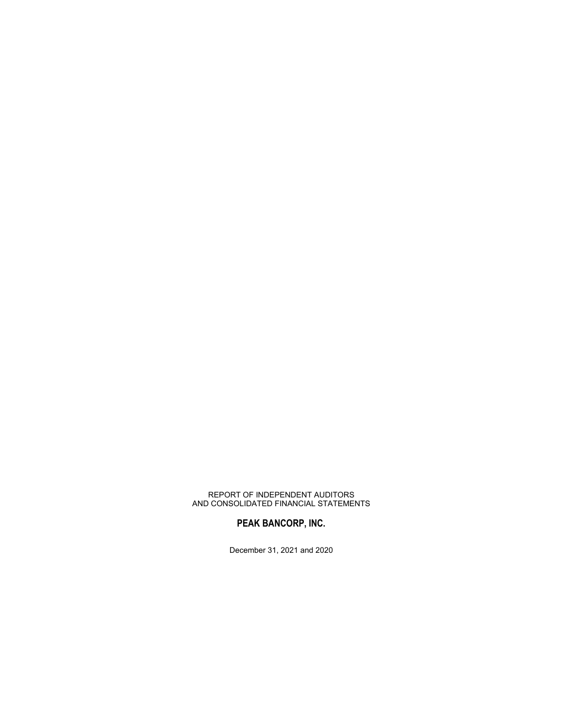#### REPORT OF INDEPENDENT AUDITORS AND CONSOLIDATED FINANCIAL STATEMENTS

## **PEAK BANCORP, INC.**

December 31, 2021 and 2020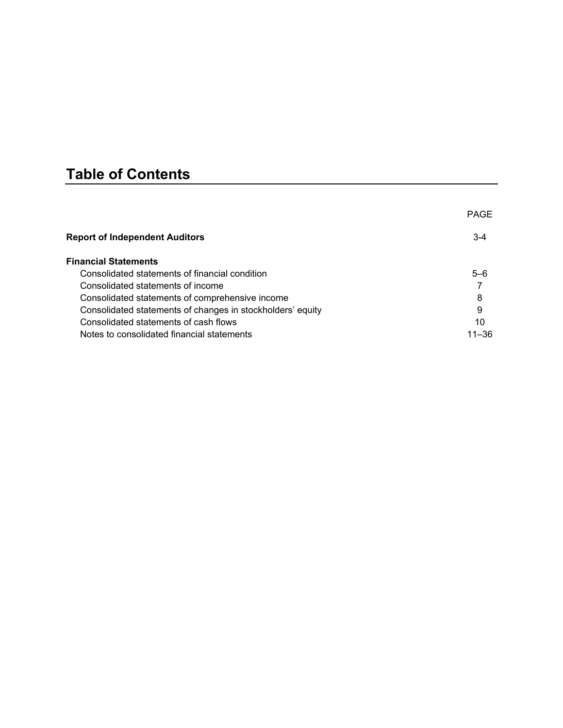# **Table of Contents**

|                                                            | <b>PAGE</b> |
|------------------------------------------------------------|-------------|
| <b>Report of Independent Auditors</b>                      | $3 - 4$     |
| <b>Financial Statements</b>                                |             |
| Consolidated statements of financial condition             | $5 - 6$     |
| Consolidated statements of income                          |             |
| Consolidated statements of comprehensive income            | 8           |
| Consolidated statements of changes in stockholders' equity | 9           |
| Consolidated statements of cash flows                      | 10          |
| Notes to consolidated financial statements                 | 11–36       |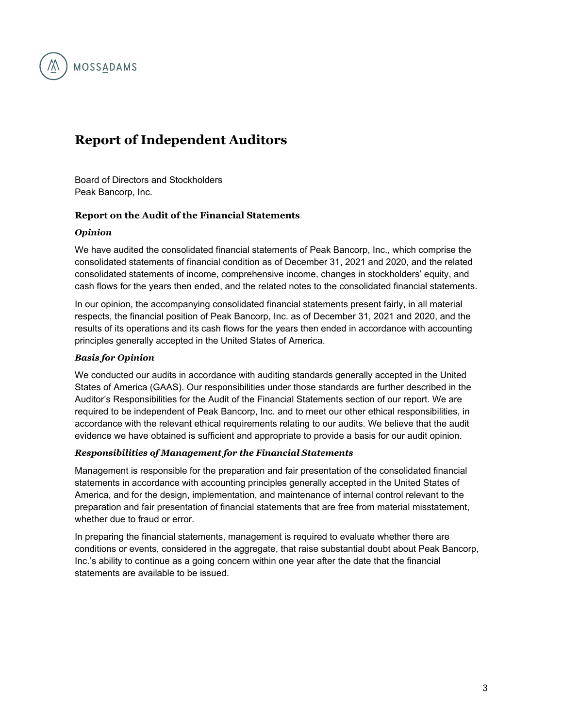

## **Report of Independent Auditors**

Board of Directors and Stockholders Peak Bancorp, Inc.

#### **Report on the Audit of the Financial Statements**

#### *Opinion*

We have audited the consolidated financial statements of Peak Bancorp, Inc., which comprise the consolidated statements of financial condition as of December 31, 2021 and 2020, and the related consolidated statements of income, comprehensive income, changes in stockholders' equity, and cash flows for the years then ended, and the related notes to the consolidated financial statements.

In our opinion, the accompanying consolidated financial statements present fairly, in all material respects, the financial position of Peak Bancorp, Inc. as of December 31, 2021 and 2020, and the results of its operations and its cash flows for the years then ended in accordance with accounting principles generally accepted in the United States of America.

#### *Basis for Opinion*

We conducted our audits in accordance with auditing standards generally accepted in the United States of America (GAAS). Our responsibilities under those standards are further described in the Auditor's Responsibilities for the Audit of the Financial Statements section of our report. We are required to be independent of Peak Bancorp, Inc. and to meet our other ethical responsibilities, in accordance with the relevant ethical requirements relating to our audits. We believe that the audit evidence we have obtained is sufficient and appropriate to provide a basis for our audit opinion.

#### *Responsibilities of Management for the Financial Statements*

Management is responsible for the preparation and fair presentation of the consolidated financial statements in accordance with accounting principles generally accepted in the United States of America, and for the design, implementation, and maintenance of internal control relevant to the preparation and fair presentation of financial statements that are free from material misstatement, whether due to fraud or error.

In preparing the financial statements, management is required to evaluate whether there are conditions or events, considered in the aggregate, that raise substantial doubt about Peak Bancorp, Inc.'s ability to continue as a going concern within one year after the date that the financial statements are available to be issued.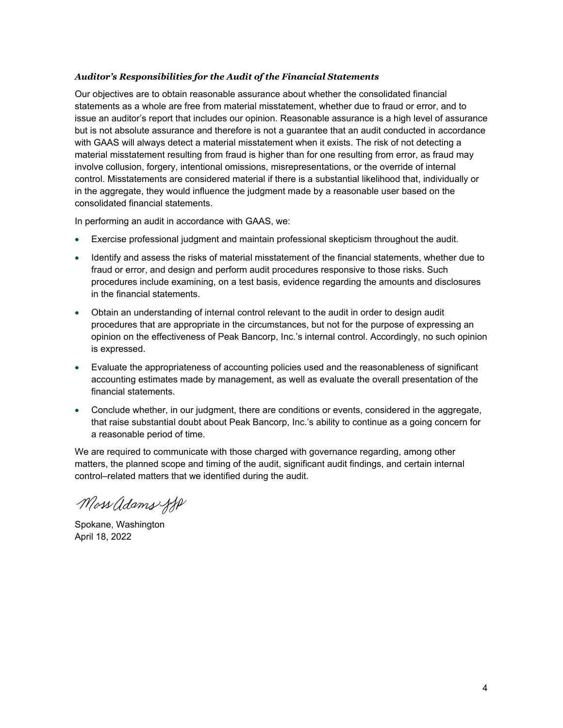#### *Auditor's Responsibilities for the Audit of the Financial Statements*

Our objectives are to obtain reasonable assurance about whether the consolidated financial statements as a whole are free from material misstatement, whether due to fraud or error, and to issue an auditor's report that includes our opinion. Reasonable assurance is a high level of assurance but is not absolute assurance and therefore is not a guarantee that an audit conducted in accordance with GAAS will always detect a material misstatement when it exists. The risk of not detecting a material misstatement resulting from fraud is higher than for one resulting from error, as fraud may involve collusion, forgery, intentional omissions, misrepresentations, or the override of internal control. Misstatements are considered material if there is a substantial likelihood that, individually or in the aggregate, they would influence the judgment made by a reasonable user based on the consolidated financial statements.

In performing an audit in accordance with GAAS, we:

- Exercise professional judgment and maintain professional skepticism throughout the audit.
- Identify and assess the risks of material misstatement of the financial statements, whether due to fraud or error, and design and perform audit procedures responsive to those risks. Such procedures include examining, on a test basis, evidence regarding the amounts and disclosures in the financial statements.
- Obtain an understanding of internal control relevant to the audit in order to design audit procedures that are appropriate in the circumstances, but not for the purpose of expressing an opinion on the effectiveness of Peak Bancorp, Inc.'s internal control. Accordingly, no such opinion is expressed.
- Evaluate the appropriateness of accounting policies used and the reasonableness of significant accounting estimates made by management, as well as evaluate the overall presentation of the financial statements.
- Conclude whether, in our judgment, there are conditions or events, considered in the aggregate, that raise substantial doubt about Peak Bancorp, Inc.'s ability to continue as a going concern for a reasonable period of time.

We are required to communicate with those charged with governance regarding, among other matters, the planned scope and timing of the audit, significant audit findings, and certain internal control–related matters that we identified during the audit.

Moss adams SSP

Spokane, Washington April 18, 2022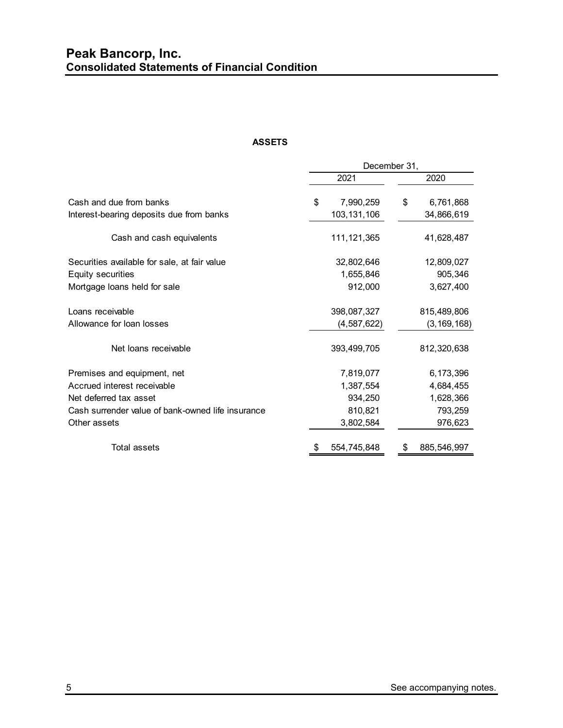#### **ASSETS**

|                                                   | December 31,    |                   |  |  |  |
|---------------------------------------------------|-----------------|-------------------|--|--|--|
|                                                   | 2021            | 2020              |  |  |  |
| Cash and due from banks                           | \$<br>7,990,259 | \$<br>6,761,868   |  |  |  |
| Interest-bearing deposits due from banks          | 103, 131, 106   | 34,866,619        |  |  |  |
| Cash and cash equivalents                         | 111, 121, 365   | 41,628,487        |  |  |  |
| Securities available for sale, at fair value      | 32,802,646      | 12,809,027        |  |  |  |
| Equity securities                                 | 1,655,846       | 905,346           |  |  |  |
| Mortgage loans held for sale                      | 912,000         | 3,627,400         |  |  |  |
| Loans receivable                                  | 398,087,327     | 815,489,806       |  |  |  |
| Allowance for loan losses                         | (4, 587, 622)   | (3, 169, 168)     |  |  |  |
| Net loans receivable                              | 393,499,705     | 812,320,638       |  |  |  |
| Premises and equipment, net                       | 7,819,077       | 6,173,396         |  |  |  |
| Accrued interest receivable                       | 1,387,554       | 4,684,455         |  |  |  |
| Net deferred tax asset                            | 934,250         | 1,628,366         |  |  |  |
| Cash surrender value of bank-owned life insurance | 810,821         | 793,259           |  |  |  |
| Other assets                                      | 3,802,584       | 976,623           |  |  |  |
| Total assets                                      | 554,745,848     | 885,546,997<br>\$ |  |  |  |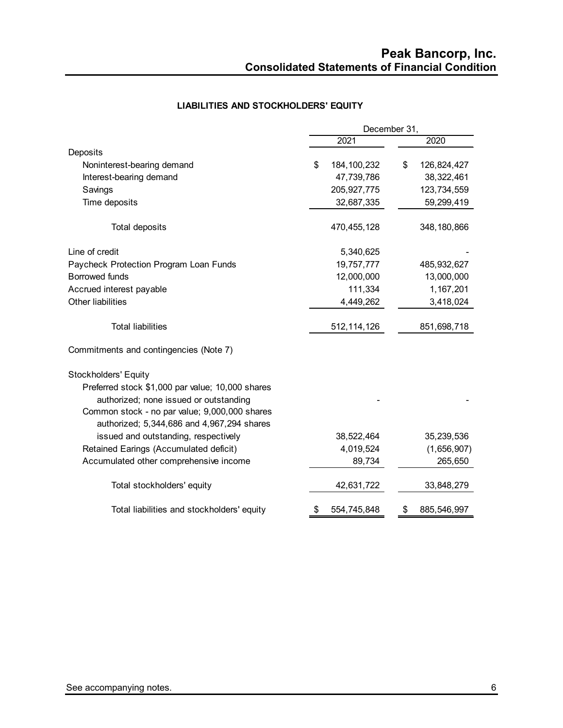| <b>LIABILITIES AND STOCKHOLDERS' EQUITY</b> |  |
|---------------------------------------------|--|
|---------------------------------------------|--|

|                                                  | December 31,        |                   |  |  |
|--------------------------------------------------|---------------------|-------------------|--|--|
|                                                  | 2021                | 2020              |  |  |
| Deposits                                         |                     |                   |  |  |
| Noninterest-bearing demand                       | \$<br>184, 100, 232 | \$<br>126,824,427 |  |  |
| Interest-bearing demand                          | 47,739,786          | 38,322,461        |  |  |
| Savings                                          | 205, 927, 775       | 123,734,559       |  |  |
| Time deposits                                    | 32,687,335          | 59,299,419        |  |  |
| Total deposits                                   | 470,455,128         | 348, 180, 866     |  |  |
| Line of credit                                   | 5,340,625           |                   |  |  |
| Paycheck Protection Program Loan Funds           | 19,757,777          | 485,932,627       |  |  |
| <b>Borrowed funds</b>                            | 12,000,000          | 13,000,000        |  |  |
| Accrued interest payable                         | 111,334             | 1,167,201         |  |  |
| <b>Other liabilities</b>                         | 4,449,262           | 3,418,024         |  |  |
| <b>Total liabilities</b>                         | 512, 114, 126       | 851,698,718       |  |  |
| Commitments and contingencies (Note 7)           |                     |                   |  |  |
| Stockholders' Equity                             |                     |                   |  |  |
| Preferred stock \$1,000 par value; 10,000 shares |                     |                   |  |  |
| authorized; none issued or outstanding           |                     |                   |  |  |
| Common stock - no par value; 9,000,000 shares    |                     |                   |  |  |
| authorized; 5,344,686 and 4,967,294 shares       |                     |                   |  |  |
| issued and outstanding, respectively             | 38,522,464          | 35,239,536        |  |  |
| Retained Earings (Accumulated deficit)           | 4,019,524           | (1,656,907)       |  |  |
| Accumulated other comprehensive income           | 89,734              | 265,650           |  |  |
| Total stockholders' equity                       | 42,631,722          | 33,848,279        |  |  |
| Total liabilities and stockholders' equity       | 554,745,848<br>\$   | 885,546,997<br>\$ |  |  |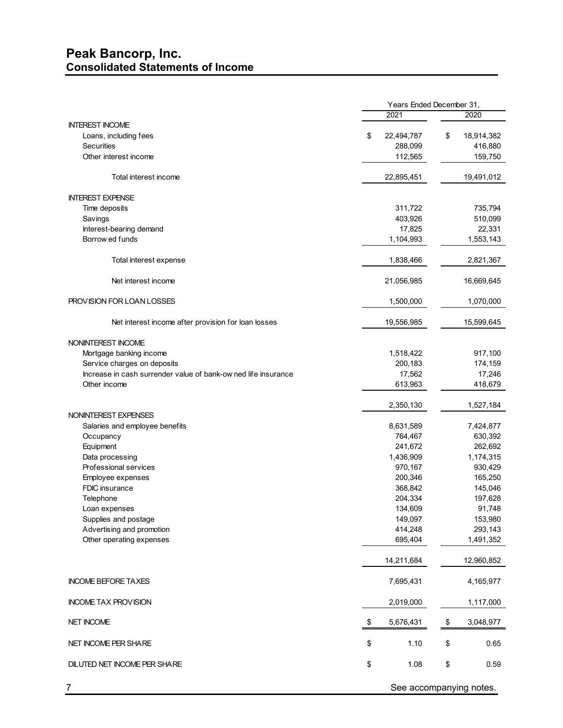### **Peak Bancorp, Inc. Consolidated Statements of Income**

|                                                                | Years Ended December 31, |                    |    |                      |
|----------------------------------------------------------------|--------------------------|--------------------|----|----------------------|
|                                                                |                          | 2021               |    | 2020                 |
| <b>INTEREST INCOME</b>                                         |                          |                    |    |                      |
| Loans, including fees                                          | \$                       | 22,494,787         | \$ | 18,914,382           |
| Securities                                                     |                          | 288,099            |    | 416,880              |
| Other interest income                                          |                          | 112,565            |    | 159,750              |
| Total interest income                                          |                          | 22,895,451         |    | 19,491,012           |
| <b>INTEREST EXPENSE</b>                                        |                          |                    |    |                      |
| Time deposits                                                  |                          | 311,722            |    | 735,794              |
| Savings                                                        |                          | 403,926            |    | 510,099              |
| Interest-bearing demand                                        |                          | 17,825             |    | 22,331               |
| Borrow ed funds                                                |                          | 1,104,993          |    | 1,553,143            |
| Total interest expense                                         |                          | 1,838,466          |    | 2,821,367            |
| Net interest income                                            |                          | 21,056,985         |    | 16,669,645           |
| PROVISION FOR LOAN LOSSES                                      |                          | 1,500,000          |    | 1,070,000            |
| Net interest income after provision for loan losses            |                          | 19,556,985         |    | 15,599,645           |
|                                                                |                          |                    |    |                      |
| NONINTEREST INCOME                                             |                          |                    |    |                      |
| Mortgage banking income                                        |                          | 1,518,422          |    | 917,100              |
| Service charges on deposits                                    |                          | 200,183            |    | 174,159              |
| Increase in cash surrender value of bank-ow ned life insurance |                          | 17,562             |    | 17,246               |
| Other income                                                   |                          | 613,963            |    | 418,679              |
|                                                                |                          | 2,350,130          |    | 1,527,184            |
| NONINTEREST EXPENSES                                           |                          |                    |    |                      |
| Salaries and employee benefits                                 |                          | 8,631,589          |    | 7,424,877            |
| Occupancy                                                      |                          | 764,467            |    | 630,392              |
| Equipment                                                      |                          | 241,672            |    | 262,692              |
| Data processing<br>Professional services                       |                          | 1,436,909          |    | 1,174,315            |
|                                                                |                          | 970,167            |    | 930,429<br>165,250   |
| Employee expenses<br>FDIC insurance                            |                          | 200,346            |    | 145,046              |
| Telephone                                                      |                          | 368,842<br>204,334 |    |                      |
|                                                                |                          | 134,609            |    | 197,628<br>91,748    |
| Loan expenses                                                  |                          |                    |    |                      |
| Supplies and postage<br>Advertising and promotion              |                          | 149,097<br>414,248 |    | 153,980              |
| Other operating expenses                                       |                          | 695,404            |    | 293,143<br>1,491,352 |
|                                                                |                          |                    |    |                      |
|                                                                |                          | 14,211,684         |    | 12,960,852           |
| <b>INCOME BEFORE TAXES</b>                                     |                          | 7,695,431          |    | 4,165,977            |
| <b>INCOME TAX PROVISION</b>                                    |                          | 2,019,000          |    | 1,117,000            |
| <b>NET INCOME</b>                                              | \$                       | 5,676,431          | \$ | 3,048,977            |
| NET INCOME PER SHARE                                           | \$                       | 1.10               | \$ | 0.65                 |
| DILUTED NET INCOME PER SHARE                                   | \$                       | 1.08               | \$ | 0.59                 |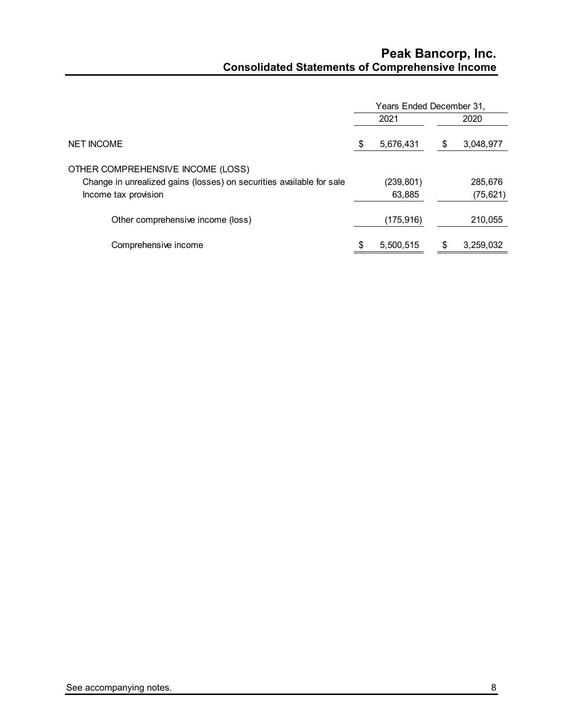|                                                                                                                                   | Years Ended December 31, |                      |    |                      |
|-----------------------------------------------------------------------------------------------------------------------------------|--------------------------|----------------------|----|----------------------|
|                                                                                                                                   | 2021                     |                      |    | 2020                 |
| NET INCOME                                                                                                                        | \$                       | 5,676,431            | \$ | 3,048,977            |
| OTHER COMPREHENSIVE INCOME (LOSS)<br>Change in unrealized gains (losses) on securities available for sale<br>Income tax provision |                          | (239, 801)<br>63,885 |    | 285,676<br>(75, 621) |
| Other comprehensive income (loss)                                                                                                 |                          | (175, 916)           |    | 210,055              |
| Comprehensive income                                                                                                              | \$                       | 5,500,515            | S  | 3,259,032            |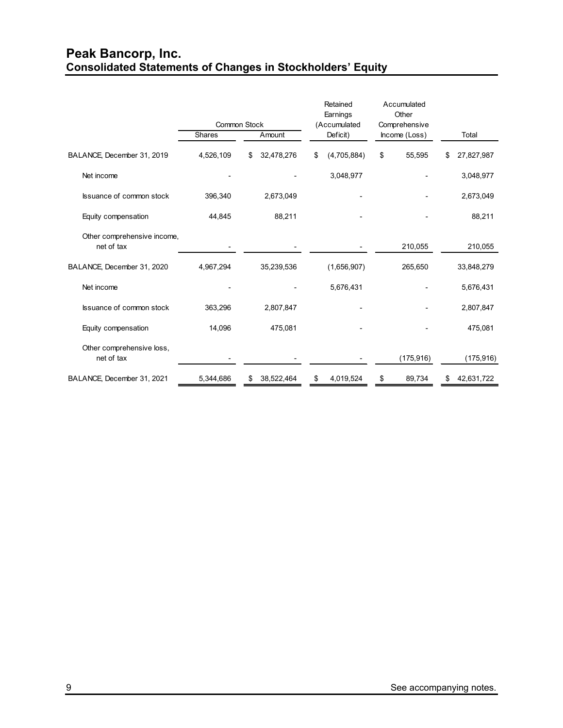## **Peak Bancorp, Inc. Consolidated Statements of Changes in Stockholders' Equity**

|                                           |               | Common Stock     | Retained<br>Earnings     | Accumulated<br>Other           |                  |
|-------------------------------------------|---------------|------------------|--------------------------|--------------------------------|------------------|
|                                           | <b>Shares</b> | Amount           | (Accumulated<br>Deficit) | Comprehensive<br>Income (Loss) | Total            |
| BALANCE, December 31, 2019                | 4,526,109     | 32,478,276<br>\$ | (4,705,884)<br>\$        | 55,595<br>\$                   | 27,827,987<br>\$ |
| Net income                                |               |                  | 3,048,977                |                                | 3,048,977        |
| <b>Issuance of common stock</b>           | 396,340       | 2,673,049        |                          |                                | 2,673,049        |
| Equity compensation                       | 44,845        | 88,211           |                          |                                | 88,211           |
| Other comprehensive income,<br>net of tax |               |                  |                          | 210,055                        | 210,055          |
| BALANCE, December 31, 2020                | 4,967,294     | 35,239,536       | (1,656,907)              | 265,650                        | 33,848,279       |
| Net income                                |               |                  | 5,676,431                |                                | 5,676,431        |
| <b>Issuance of common stock</b>           | 363,296       | 2,807,847        |                          |                                | 2,807,847        |
| Equity compensation                       | 14,096        | 475,081          |                          |                                | 475,081          |
| Other comprehensive loss,<br>net of tax   |               |                  |                          | (175, 916)                     | (175, 916)       |
| BALANCE, December 31, 2021                | 5,344,686     | 38,522,464<br>S  | 4,019,524<br>\$          | 89,734<br>\$                   | 42,631,722<br>\$ |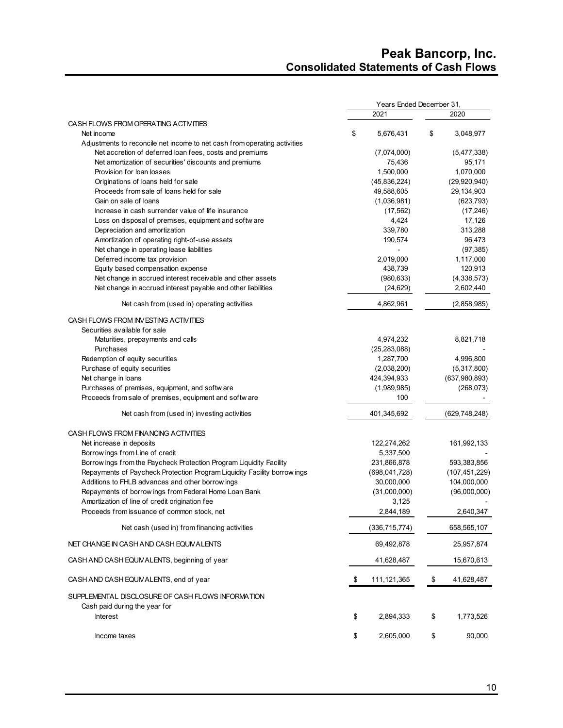## **Peak Bancorp, Inc. Consolidated Statements of Cash Flows**

|                                                                           | Years Ended December 31, |                 |    |                 |
|---------------------------------------------------------------------------|--------------------------|-----------------|----|-----------------|
|                                                                           |                          | 2021            |    | 2020            |
| CASH FLOWS FROM OPERATING ACTIVITIES                                      |                          |                 |    |                 |
| Net income                                                                | \$                       | 5,676,431       | \$ | 3,048,977       |
| Adjustments to reconcile net income to net cash from operating activities |                          |                 |    |                 |
| Net accretion of deferred loan fees, costs and premiums                   |                          | (7,074,000)     |    | (5,477,338)     |
| Net amortization of securities' discounts and premiums                    |                          | 75,436          |    | 95,171          |
| Provision for loan losses                                                 |                          | 1,500,000       |    | 1,070,000       |
| Originations of loans held for sale                                       |                          | (45,836,224)    |    | (29,920,940)    |
| Proceeds from sale of loans held for sale                                 |                          | 49,588,605      |    | 29,134,903      |
| Gain on sale of loans                                                     |                          | (1,036,981)     |    | (623, 793)      |
| Increase in cash surrender value of life insurance                        |                          | (17, 562)       |    | (17, 246)       |
| Loss on disposal of premises, equipment and softw are                     |                          | 4,424           |    | 17,126          |
| Depreciation and amortization                                             |                          | 339,780         |    | 313,288         |
| Amortization of operating right-of-use assets                             |                          | 190,574         |    | 96,473          |
| Net change in operating lease liabilities                                 |                          |                 |    | (97, 385)       |
| Deferred income tax provision                                             |                          | 2,019,000       |    | 1,117,000       |
| Equity based compensation expense                                         |                          | 438,739         |    | 120,913         |
| Net change in accrued interest receivable and other assets                |                          | (980, 633)      |    | (4,338,573)     |
| Net change in accrued interest payable and other liabilities              |                          | (24, 629)       |    | 2,602,440       |
| Net cash from (used in) operating activities                              |                          | 4,862,961       |    | (2,858,985)     |
| CASH FLOWS FROM INVESTING ACTIVITIES                                      |                          |                 |    |                 |
| Securities available for sale                                             |                          |                 |    |                 |
| Maturities, prepayments and calls                                         |                          | 4,974,232       |    | 8,821,718       |
| Purchases                                                                 |                          | (25, 283, 088)  |    |                 |
| Redemption of equity securities                                           |                          | 1,287,700       |    | 4,996,800       |
| Purchase of equity securities                                             |                          | (2,038,200)     |    | (5,317,800)     |
| Net change in loans                                                       |                          | 424,394,933     |    | (637,980,893)   |
| Purchases of premises, equipment, and softw are                           |                          | (1,989,985)     |    | (268, 073)      |
| Proceeds from sale of premises, equipment and softw are                   |                          | 100             |    |                 |
| Net cash from (used in) investing activities                              |                          | 401,345,692     |    | (629,748,248)   |
| CASH FLOWS FROM FINANCING ACTIVITIES                                      |                          |                 |    |                 |
| Net increase in deposits                                                  |                          | 122,274,262     |    | 161,992,133     |
| Borrow ings from Line of credit                                           |                          | 5,337,500       |    |                 |
| Borrow ings from the Paycheck Protection Program Liquidity Facility       |                          | 231,866,878     |    | 593,383,856     |
| Repayments of Paycheck Protection Program Liquidity Facility borrow ings  |                          | (698, 041, 728) |    | (107, 451, 229) |
| Additions to FHLB advances and other borrow ings                          |                          | 30,000,000      |    | 104,000,000     |
| Repayments of borrow ings from Federal Home Loan Bank                     |                          | (31,000,000)    |    | (96,000,000)    |
| Amortization of line of credit origination fee                            |                          | 3,125           |    |                 |
| Proceeds from issuance of common stock, net                               |                          | 2,844,189       |    | 2,640,347       |
| Net cash (used in) from financing activities                              |                          | (336, 715, 774) |    | 658,565,107     |
| NET CHANGE IN CASH AND CASH EQUIVALENTS                                   |                          | 69,492,878      |    | 25,957,874      |
|                                                                           |                          |                 |    |                 |
| CASH AND CASH EQUIVALENTS, beginning of year                              |                          | 41,628,487      |    | 15,670,613      |
| CASH AND CASH EQUIVALENTS, end of year                                    | \$                       | 111,121,365     | \$ | 41,628,487      |
| SUPPLEMENTAL DISCLOSURE OF CASH FLOWS INFORMATION                         |                          |                 |    |                 |
| Cash paid during the year for                                             |                          |                 |    |                 |
| <b>Interest</b>                                                           | \$                       | 2,894,333       | \$ | 1,773,526       |
| Income taxes                                                              | \$                       | 2,605,000       | \$ | 90,000          |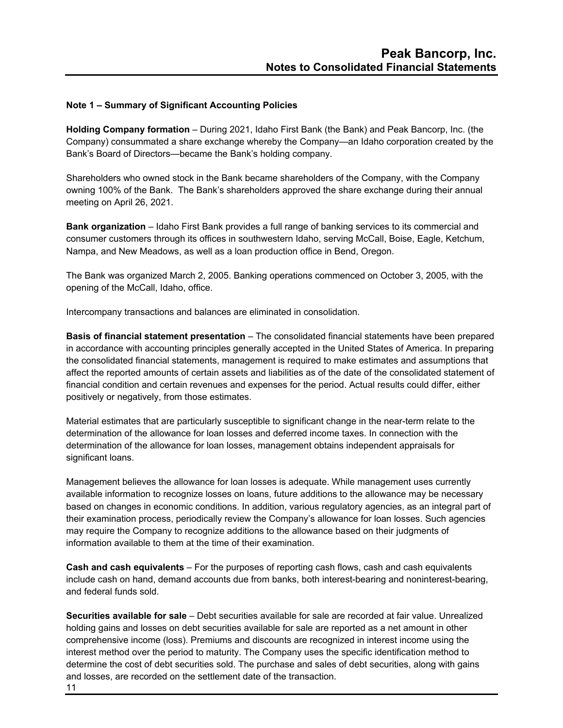#### **Note 1 – Summary of Significant Accounting Policies**

**Holding Company formation** – During 2021, Idaho First Bank (the Bank) and Peak Bancorp, Inc. (the Company) consummated a share exchange whereby the Company—an Idaho corporation created by the Bank's Board of Directors—became the Bank's holding company.

Shareholders who owned stock in the Bank became shareholders of the Company, with the Company owning 100% of the Bank. The Bank's shareholders approved the share exchange during their annual meeting on April 26, 2021.

**Bank organization** – Idaho First Bank provides a full range of banking services to its commercial and consumer customers through its offices in southwestern Idaho, serving McCall, Boise, Eagle, Ketchum, Nampa, and New Meadows, as well as a loan production office in Bend, Oregon.

The Bank was organized March 2, 2005. Banking operations commenced on October 3, 2005, with the opening of the McCall, Idaho, office.

Intercompany transactions and balances are eliminated in consolidation.

**Basis of financial statement presentation** – The consolidated financial statements have been prepared in accordance with accounting principles generally accepted in the United States of America. In preparing the consolidated financial statements, management is required to make estimates and assumptions that affect the reported amounts of certain assets and liabilities as of the date of the consolidated statement of financial condition and certain revenues and expenses for the period. Actual results could differ, either positively or negatively, from those estimates.

Material estimates that are particularly susceptible to significant change in the near-term relate to the determination of the allowance for loan losses and deferred income taxes. In connection with the determination of the allowance for loan losses, management obtains independent appraisals for significant loans.

Management believes the allowance for loan losses is adequate. While management uses currently available information to recognize losses on loans, future additions to the allowance may be necessary based on changes in economic conditions. In addition, various regulatory agencies, as an integral part of their examination process, periodically review the Company's allowance for loan losses. Such agencies may require the Company to recognize additions to the allowance based on their judgments of information available to them at the time of their examination.

**Cash and cash equivalents** – For the purposes of reporting cash flows, cash and cash equivalents include cash on hand, demand accounts due from banks, both interest-bearing and noninterest-bearing, and federal funds sold.

**Securities available for sale** – Debt securities available for sale are recorded at fair value. Unrealized holding gains and losses on debt securities available for sale are reported as a net amount in other comprehensive income (loss). Premiums and discounts are recognized in interest income using the interest method over the period to maturity. The Company uses the specific identification method to determine the cost of debt securities sold. The purchase and sales of debt securities, along with gains and losses, are recorded on the settlement date of the transaction.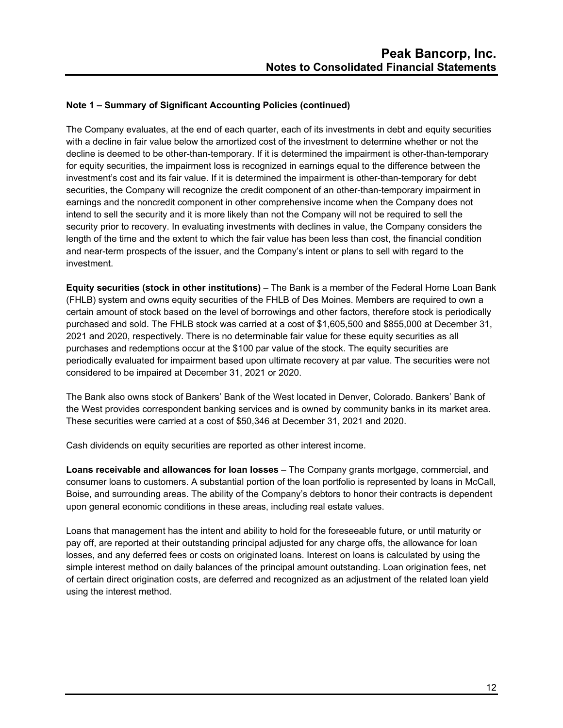The Company evaluates, at the end of each quarter, each of its investments in debt and equity securities with a decline in fair value below the amortized cost of the investment to determine whether or not the decline is deemed to be other-than-temporary. If it is determined the impairment is other-than-temporary for equity securities, the impairment loss is recognized in earnings equal to the difference between the investment's cost and its fair value. If it is determined the impairment is other-than-temporary for debt securities, the Company will recognize the credit component of an other-than-temporary impairment in earnings and the noncredit component in other comprehensive income when the Company does not intend to sell the security and it is more likely than not the Company will not be required to sell the security prior to recovery. In evaluating investments with declines in value, the Company considers the length of the time and the extent to which the fair value has been less than cost, the financial condition and near-term prospects of the issuer, and the Company's intent or plans to sell with regard to the investment.

**Equity securities (stock in other institutions)** – The Bank is a member of the Federal Home Loan Bank (FHLB) system and owns equity securities of the FHLB of Des Moines. Members are required to own a certain amount of stock based on the level of borrowings and other factors, therefore stock is periodically purchased and sold. The FHLB stock was carried at a cost of \$1,605,500 and \$855,000 at December 31, 2021 and 2020, respectively. There is no determinable fair value for these equity securities as all purchases and redemptions occur at the \$100 par value of the stock. The equity securities are periodically evaluated for impairment based upon ultimate recovery at par value. The securities were not considered to be impaired at December 31, 2021 or 2020.

The Bank also owns stock of Bankers' Bank of the West located in Denver, Colorado. Bankers' Bank of the West provides correspondent banking services and is owned by community banks in its market area. These securities were carried at a cost of \$50,346 at December 31, 2021 and 2020.

Cash dividends on equity securities are reported as other interest income.

**Loans receivable and allowances for loan losses** – The Company grants mortgage, commercial, and consumer loans to customers. A substantial portion of the loan portfolio is represented by loans in McCall, Boise, and surrounding areas. The ability of the Company's debtors to honor their contracts is dependent upon general economic conditions in these areas, including real estate values.

Loans that management has the intent and ability to hold for the foreseeable future, or until maturity or pay off, are reported at their outstanding principal adjusted for any charge offs, the allowance for loan losses, and any deferred fees or costs on originated loans. Interest on loans is calculated by using the simple interest method on daily balances of the principal amount outstanding. Loan origination fees, net of certain direct origination costs, are deferred and recognized as an adjustment of the related loan yield using the interest method.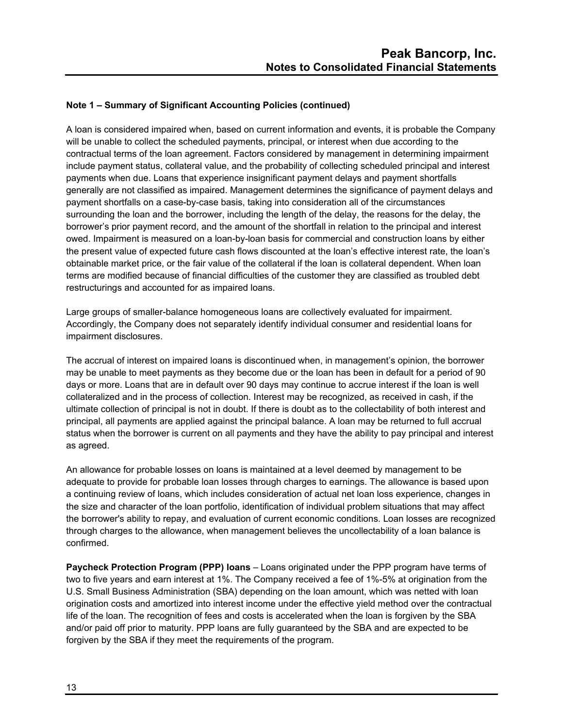A loan is considered impaired when, based on current information and events, it is probable the Company will be unable to collect the scheduled payments, principal, or interest when due according to the contractual terms of the loan agreement. Factors considered by management in determining impairment include payment status, collateral value, and the probability of collecting scheduled principal and interest payments when due. Loans that experience insignificant payment delays and payment shortfalls generally are not classified as impaired. Management determines the significance of payment delays and payment shortfalls on a case-by-case basis, taking into consideration all of the circumstances surrounding the loan and the borrower, including the length of the delay, the reasons for the delay, the borrower's prior payment record, and the amount of the shortfall in relation to the principal and interest owed. Impairment is measured on a loan-by-loan basis for commercial and construction loans by either the present value of expected future cash flows discounted at the loan's effective interest rate, the loan's obtainable market price, or the fair value of the collateral if the loan is collateral dependent. When loan terms are modified because of financial difficulties of the customer they are classified as troubled debt restructurings and accounted for as impaired loans.

Large groups of smaller-balance homogeneous loans are collectively evaluated for impairment. Accordingly, the Company does not separately identify individual consumer and residential loans for impairment disclosures.

The accrual of interest on impaired loans is discontinued when, in management's opinion, the borrower may be unable to meet payments as they become due or the loan has been in default for a period of 90 days or more. Loans that are in default over 90 days may continue to accrue interest if the loan is well collateralized and in the process of collection. Interest may be recognized, as received in cash, if the ultimate collection of principal is not in doubt. If there is doubt as to the collectability of both interest and principal, all payments are applied against the principal balance. A loan may be returned to full accrual status when the borrower is current on all payments and they have the ability to pay principal and interest as agreed.

An allowance for probable losses on loans is maintained at a level deemed by management to be adequate to provide for probable loan losses through charges to earnings. The allowance is based upon a continuing review of loans, which includes consideration of actual net loan loss experience, changes in the size and character of the loan portfolio, identification of individual problem situations that may affect the borrower's ability to repay, and evaluation of current economic conditions. Loan losses are recognized through charges to the allowance, when management believes the uncollectability of a loan balance is confirmed.

**Paycheck Protection Program (PPP) loans** – Loans originated under the PPP program have terms of two to five years and earn interest at 1%. The Company received a fee of 1%-5% at origination from the U.S. Small Business Administration (SBA) depending on the loan amount, which was netted with loan origination costs and amortized into interest income under the effective yield method over the contractual life of the loan. The recognition of fees and costs is accelerated when the loan is forgiven by the SBA and/or paid off prior to maturity. PPP loans are fully guaranteed by the SBA and are expected to be forgiven by the SBA if they meet the requirements of the program.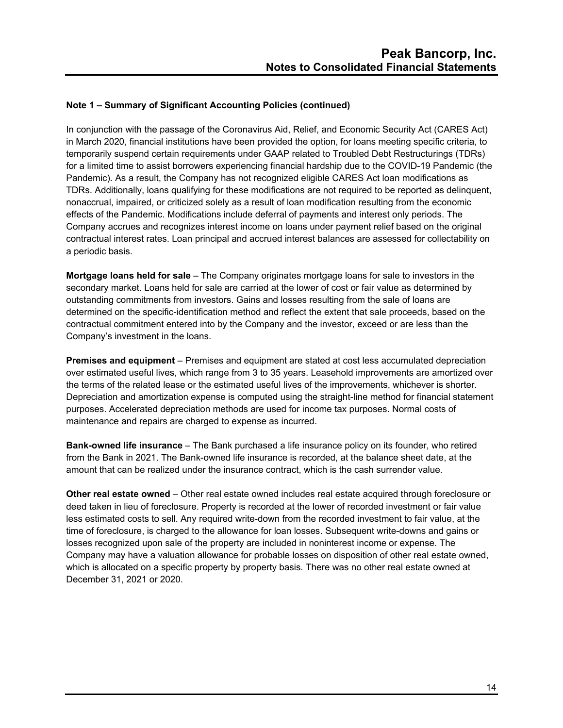In conjunction with the passage of the Coronavirus Aid, Relief, and Economic Security Act (CARES Act) in March 2020, financial institutions have been provided the option, for loans meeting specific criteria, to temporarily suspend certain requirements under GAAP related to Troubled Debt Restructurings (TDRs) for a limited time to assist borrowers experiencing financial hardship due to the COVID-19 Pandemic (the Pandemic). As a result, the Company has not recognized eligible CARES Act loan modifications as TDRs. Additionally, loans qualifying for these modifications are not required to be reported as delinquent, nonaccrual, impaired, or criticized solely as a result of loan modification resulting from the economic effects of the Pandemic. Modifications include deferral of payments and interest only periods. The Company accrues and recognizes interest income on loans under payment relief based on the original contractual interest rates. Loan principal and accrued interest balances are assessed for collectability on a periodic basis.

**Mortgage loans held for sale** – The Company originates mortgage loans for sale to investors in the secondary market. Loans held for sale are carried at the lower of cost or fair value as determined by outstanding commitments from investors. Gains and losses resulting from the sale of loans are determined on the specific-identification method and reflect the extent that sale proceeds, based on the contractual commitment entered into by the Company and the investor, exceed or are less than the Company's investment in the loans.

**Premises and equipment** – Premises and equipment are stated at cost less accumulated depreciation over estimated useful lives, which range from 3 to 35 years. Leasehold improvements are amortized over the terms of the related lease or the estimated useful lives of the improvements, whichever is shorter. Depreciation and amortization expense is computed using the straight-line method for financial statement purposes. Accelerated depreciation methods are used for income tax purposes. Normal costs of maintenance and repairs are charged to expense as incurred.

**Bank-owned life insurance** – The Bank purchased a life insurance policy on its founder, who retired from the Bank in 2021. The Bank-owned life insurance is recorded, at the balance sheet date, at the amount that can be realized under the insurance contract, which is the cash surrender value.

**Other real estate owned** – Other real estate owned includes real estate acquired through foreclosure or deed taken in lieu of foreclosure. Property is recorded at the lower of recorded investment or fair value less estimated costs to sell. Any required write-down from the recorded investment to fair value, at the time of foreclosure, is charged to the allowance for loan losses. Subsequent write-downs and gains or losses recognized upon sale of the property are included in noninterest income or expense. The Company may have a valuation allowance for probable losses on disposition of other real estate owned, which is allocated on a specific property by property basis. There was no other real estate owned at December 31, 2021 or 2020.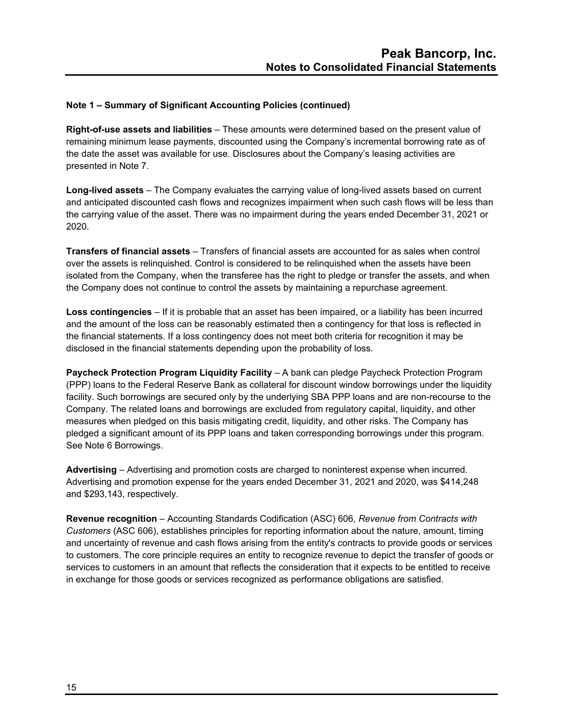**Right-of-use assets and liabilities** – These amounts were determined based on the present value of remaining minimum lease payments, discounted using the Company's incremental borrowing rate as of the date the asset was available for use. Disclosures about the Company's leasing activities are presented in Note 7.

**Long-lived assets** – The Company evaluates the carrying value of long-lived assets based on current and anticipated discounted cash flows and recognizes impairment when such cash flows will be less than the carrying value of the asset. There was no impairment during the years ended December 31, 2021 or 2020.

**Transfers of financial assets** – Transfers of financial assets are accounted for as sales when control over the assets is relinquished. Control is considered to be relinquished when the assets have been isolated from the Company, when the transferee has the right to pledge or transfer the assets, and when the Company does not continue to control the assets by maintaining a repurchase agreement.

**Loss contingencies** – If it is probable that an asset has been impaired, or a liability has been incurred and the amount of the loss can be reasonably estimated then a contingency for that loss is reflected in the financial statements. If a loss contingency does not meet both criteria for recognition it may be disclosed in the financial statements depending upon the probability of loss.

**Paycheck Protection Program Liquidity Facility** – A bank can pledge Paycheck Protection Program (PPP) loans to the Federal Reserve Bank as collateral for discount window borrowings under the liquidity facility. Such borrowings are secured only by the underlying SBA PPP loans and are non-recourse to the Company. The related loans and borrowings are excluded from regulatory capital, liquidity, and other measures when pledged on this basis mitigating credit, liquidity, and other risks. The Company has pledged a significant amount of its PPP loans and taken corresponding borrowings under this program. See Note 6 Borrowings.

**Advertising** – Advertising and promotion costs are charged to noninterest expense when incurred. Advertising and promotion expense for the years ended December 31, 2021 and 2020, was \$414,248 and \$293,143, respectively.

**Revenue recognition** – Accounting Standards Codification (ASC) 606, *Revenue from Contracts with Customers* (ASC 606), establishes principles for reporting information about the nature, amount, timing and uncertainty of revenue and cash flows arising from the entity's contracts to provide goods or services to customers. The core principle requires an entity to recognize revenue to depict the transfer of goods or services to customers in an amount that reflects the consideration that it expects to be entitled to receive in exchange for those goods or services recognized as performance obligations are satisfied.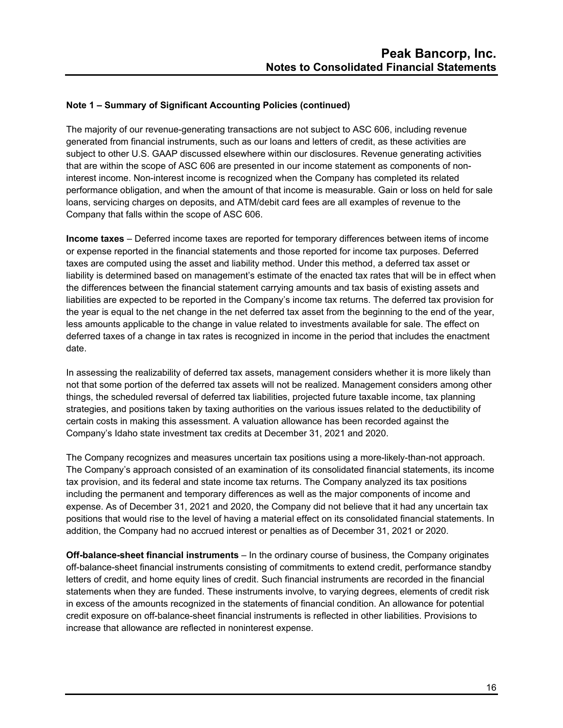The majority of our revenue-generating transactions are not subject to ASC 606, including revenue generated from financial instruments, such as our loans and letters of credit, as these activities are subject to other U.S. GAAP discussed elsewhere within our disclosures. Revenue generating activities that are within the scope of ASC 606 are presented in our income statement as components of noninterest income. Non-interest income is recognized when the Company has completed its related performance obligation, and when the amount of that income is measurable. Gain or loss on held for sale loans, servicing charges on deposits, and ATM/debit card fees are all examples of revenue to the Company that falls within the scope of ASC 606.

**Income taxes** – Deferred income taxes are reported for temporary differences between items of income or expense reported in the financial statements and those reported for income tax purposes. Deferred taxes are computed using the asset and liability method. Under this method, a deferred tax asset or liability is determined based on management's estimate of the enacted tax rates that will be in effect when the differences between the financial statement carrying amounts and tax basis of existing assets and liabilities are expected to be reported in the Company's income tax returns. The deferred tax provision for the year is equal to the net change in the net deferred tax asset from the beginning to the end of the year, less amounts applicable to the change in value related to investments available for sale. The effect on deferred taxes of a change in tax rates is recognized in income in the period that includes the enactment date.

In assessing the realizability of deferred tax assets, management considers whether it is more likely than not that some portion of the deferred tax assets will not be realized. Management considers among other things, the scheduled reversal of deferred tax liabilities, projected future taxable income, tax planning strategies, and positions taken by taxing authorities on the various issues related to the deductibility of certain costs in making this assessment. A valuation allowance has been recorded against the Company's Idaho state investment tax credits at December 31, 2021 and 2020.

The Company recognizes and measures uncertain tax positions using a more-likely-than-not approach. The Company's approach consisted of an examination of its consolidated financial statements, its income tax provision, and its federal and state income tax returns. The Company analyzed its tax positions including the permanent and temporary differences as well as the major components of income and expense. As of December 31, 2021 and 2020, the Company did not believe that it had any uncertain tax positions that would rise to the level of having a material effect on its consolidated financial statements. In addition, the Company had no accrued interest or penalties as of December 31, 2021 or 2020.

**Off-balance-sheet financial instruments** – In the ordinary course of business, the Company originates off-balance-sheet financial instruments consisting of commitments to extend credit, performance standby letters of credit, and home equity lines of credit. Such financial instruments are recorded in the financial statements when they are funded. These instruments involve, to varying degrees, elements of credit risk in excess of the amounts recognized in the statements of financial condition. An allowance for potential credit exposure on off-balance-sheet financial instruments is reflected in other liabilities. Provisions to increase that allowance are reflected in noninterest expense.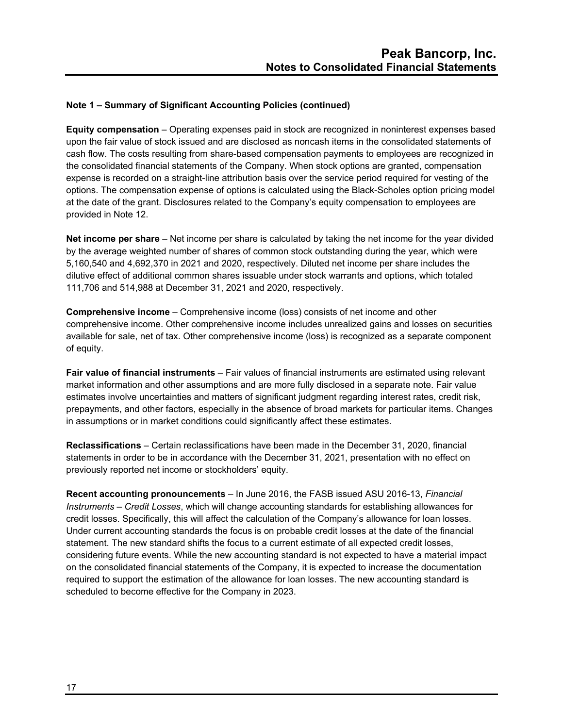**Equity compensation** – Operating expenses paid in stock are recognized in noninterest expenses based upon the fair value of stock issued and are disclosed as noncash items in the consolidated statements of cash flow. The costs resulting from share-based compensation payments to employees are recognized in the consolidated financial statements of the Company. When stock options are granted, compensation expense is recorded on a straight-line attribution basis over the service period required for vesting of the options. The compensation expense of options is calculated using the Black-Scholes option pricing model at the date of the grant. Disclosures related to the Company's equity compensation to employees are provided in Note 12.

**Net income per share** – Net income per share is calculated by taking the net income for the year divided by the average weighted number of shares of common stock outstanding during the year, which were 5,160,540 and 4,692,370 in 2021 and 2020, respectively. Diluted net income per share includes the dilutive effect of additional common shares issuable under stock warrants and options, which totaled 111,706 and 514,988 at December 31, 2021 and 2020, respectively.

**Comprehensive income** – Comprehensive income (loss) consists of net income and other comprehensive income. Other comprehensive income includes unrealized gains and losses on securities available for sale, net of tax. Other comprehensive income (loss) is recognized as a separate component of equity.

**Fair value of financial instruments** – Fair values of financial instruments are estimated using relevant market information and other assumptions and are more fully disclosed in a separate note. Fair value estimates involve uncertainties and matters of significant judgment regarding interest rates, credit risk, prepayments, and other factors, especially in the absence of broad markets for particular items. Changes in assumptions or in market conditions could significantly affect these estimates.

**Reclassifications** – Certain reclassifications have been made in the December 31, 2020, financial statements in order to be in accordance with the December 31, 2021, presentation with no effect on previously reported net income or stockholders' equity.

**Recent accounting pronouncements** – In June 2016, the FASB issued ASU 2016-13, *Financial Instruments – Credit Losses*, which will change accounting standards for establishing allowances for credit losses. Specifically, this will affect the calculation of the Company's allowance for loan losses. Under current accounting standards the focus is on probable credit losses at the date of the financial statement. The new standard shifts the focus to a current estimate of all expected credit losses, considering future events. While the new accounting standard is not expected to have a material impact on the consolidated financial statements of the Company, it is expected to increase the documentation required to support the estimation of the allowance for loan losses. The new accounting standard is scheduled to become effective for the Company in 2023.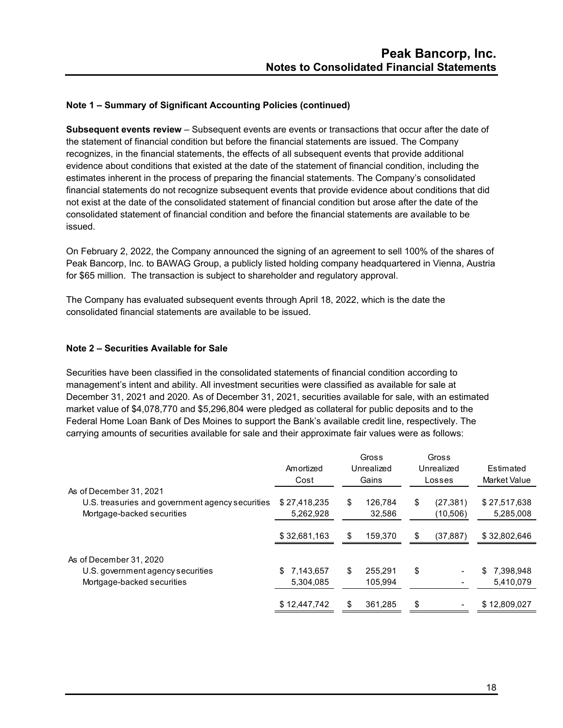**Subsequent events review** – Subsequent events are events or transactions that occur after the date of the statement of financial condition but before the financial statements are issued. The Company recognizes, in the financial statements, the effects of all subsequent events that provide additional evidence about conditions that existed at the date of the statement of financial condition, including the estimates inherent in the process of preparing the financial statements. The Company's consolidated financial statements do not recognize subsequent events that provide evidence about conditions that did not exist at the date of the consolidated statement of financial condition but arose after the date of the consolidated statement of financial condition and before the financial statements are available to be issued.

On February 2, 2022, the Company announced the signing of an agreement to sell 100% of the shares of Peak Bancorp, Inc. to BAWAG Group, a publicly listed holding company headquartered in Vienna, Austria for \$65 million. The transaction is subject to shareholder and regulatory approval.

The Company has evaluated subsequent events through April 18, 2022, which is the date the consolidated financial statements are available to be issued.

#### **Note 2 – Securities Available for Sale**

Securities have been classified in the consolidated statements of financial condition according to management's intent and ability. All investment securities were classified as available for sale at December 31, 2021 and 2020. As of December 31, 2021, securities available for sale, with an estimated market value of \$4,078,770 and \$5,296,804 were pledged as collateral for public deposits and to the Federal Home Loan Bank of Des Moines to support the Bank's available credit line, respectively. The carrying amounts of securities available for sale and their approximate fair values were as follows:

|                                                  | Amortized<br>Cost | Gross<br>Unrealized<br>Gains | Gross<br>Unrealized<br>Losses | Estimated<br>Market Value |
|--------------------------------------------------|-------------------|------------------------------|-------------------------------|---------------------------|
| As of December 31, 2021                          |                   |                              |                               |                           |
| U.S. treasuries and government agency securities | \$27,418,235      | \$<br>126,784                | \$<br>(27, 381)               | \$27,517,638              |
| Mortgage-backed securities                       | 5,262,928         | 32,586                       | (10,506)                      | 5,285,008                 |
|                                                  | \$32,681,163      | \$<br>159.370                | \$<br>(37, 887)               | \$32,802,646              |
| As of December 31, 2020                          |                   |                              |                               |                           |
| U.S. government agency securities                | 7,143,657<br>\$   | \$<br>255.291                | \$                            | 7,398,948<br>\$           |
| Mortgage-backed securities                       | 5,304,085         | 105,994                      |                               | 5,410,079                 |
|                                                  | \$12,447.742      | \$<br>361.285                | \$                            | \$12,809,027              |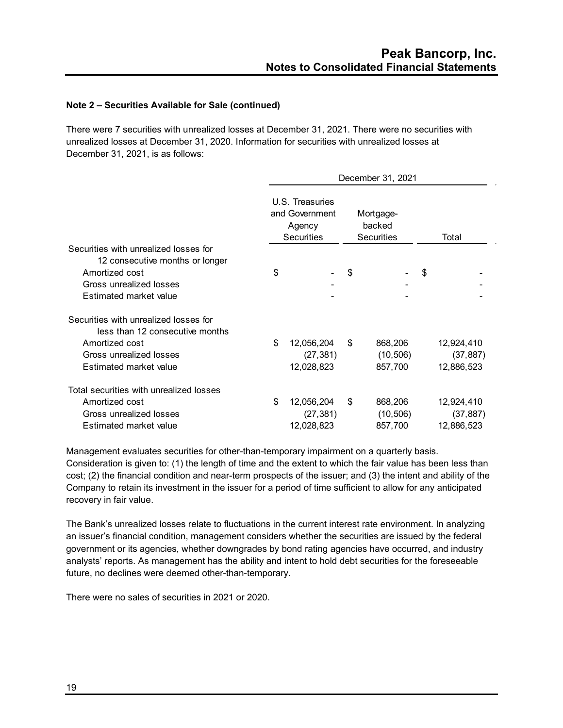#### **Note 2 – Securities Available for Sale (continued)**

There were 7 securities with unrealized losses at December 31, 2021. There were no securities with unrealized losses at December 31, 2020. Information for securities with unrealized losses at December 31, 2021, is as follows:

|                                                                                                        | December 31, 2021 |                                                                                                              |    |           |    |            |  |
|--------------------------------------------------------------------------------------------------------|-------------------|--------------------------------------------------------------------------------------------------------------|----|-----------|----|------------|--|
|                                                                                                        |                   | U.S. Treasuries<br>and Government<br>Mortgage-<br>backed<br>Agency<br><b>Securities</b><br><b>Securities</b> |    |           |    | Total      |  |
| Securities with unrealized losses for                                                                  |                   |                                                                                                              |    |           |    |            |  |
| 12 consecutive months or longer<br>Amortized cost<br>Gross unrealized losses<br>Estimated market value | \$                |                                                                                                              | \$ |           | \$ |            |  |
| Securities with unrealized losses for<br>less than 12 consecutive months                               |                   |                                                                                                              |    |           |    |            |  |
| Amortized cost                                                                                         | \$                | 12,056,204                                                                                                   | \$ | 868,206   |    | 12,924,410 |  |
| Gross unrealized losses                                                                                |                   | (27, 381)                                                                                                    |    | (10, 506) |    | (37, 887)  |  |
| Estimated market value                                                                                 |                   | 12,028,823                                                                                                   |    | 857,700   |    | 12,886,523 |  |
| Total securities with unrealized losses                                                                |                   |                                                                                                              |    |           |    |            |  |
| Amortized cost                                                                                         | \$                | 12,056,204                                                                                                   | \$ | 868,206   |    | 12,924,410 |  |
| Gross unrealized losses                                                                                |                   | (27, 381)                                                                                                    |    | (10, 506) |    | (37, 887)  |  |
| Estimated market value                                                                                 |                   | 12,028,823                                                                                                   |    | 857,700   |    | 12,886,523 |  |

Management evaluates securities for other-than-temporary impairment on a quarterly basis. Consideration is given to: (1) the length of time and the extent to which the fair value has been less than cost; (2) the financial condition and near-term prospects of the issuer; and (3) the intent and ability of the Company to retain its investment in the issuer for a period of time sufficient to allow for any anticipated recovery in fair value.

The Bank's unrealized losses relate to fluctuations in the current interest rate environment. In analyzing an issuer's financial condition, management considers whether the securities are issued by the federal government or its agencies, whether downgrades by bond rating agencies have occurred, and industry analysts' reports. As management has the ability and intent to hold debt securities for the foreseeable future, no declines were deemed other-than-temporary.

There were no sales of securities in 2021 or 2020.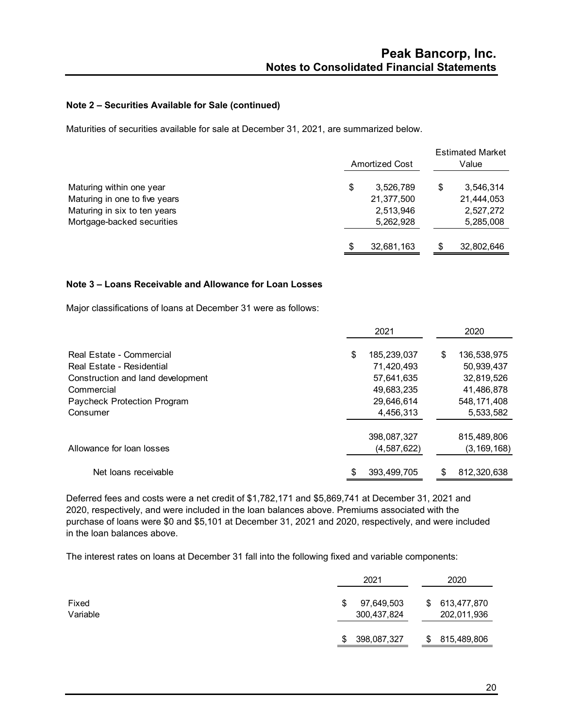#### **Note 2 – Securities Available for Sale (continued)**

Maturities of securities available for sale at December 31, 2021, are summarized below.

|                               | <b>Amortized Cost</b> |   |            |
|-------------------------------|-----------------------|---|------------|
| Maturing within one year      | \$<br>3,526,789       | S | 3,546,314  |
| Maturing in one to five years | 21,377,500            |   | 21,444,053 |
| Maturing in six to ten years  | 2,513,946             |   | 2,527,272  |
| Mortgage-backed securities    | 5,262,928             |   | 5,285,008  |
|                               | \$<br>32,681,163      |   | 32,802,646 |

#### **Note 3 – Loans Receivable and Allowance for Loan Losses**

Major classifications of loans at December 31 were as follows:

|                                    | 2021              | 2020              |  |  |
|------------------------------------|-------------------|-------------------|--|--|
| Real Estate - Commercial           | \$<br>185,239,037 | \$<br>136.538.975 |  |  |
| Real Estate - Residential          | 71.420.493        | 50,939,437        |  |  |
| Construction and land development  | 57,641,635        | 32,819,526        |  |  |
| Commercial                         | 49,683,235        | 41,486,878        |  |  |
| <b>Paycheck Protection Program</b> | 29,646,614        | 548.171.408       |  |  |
| Consumer                           | 4,456,313         | 5,533,582         |  |  |
|                                    | 398,087,327       | 815,489,806       |  |  |
| Allowance for loan losses          | (4, 587, 622)     | (3, 169, 168)     |  |  |
| Net loans receivable               | \$<br>393,499,705 | 812.320.638       |  |  |
|                                    |                   |                   |  |  |

Deferred fees and costs were a net credit of \$1,782,171 and \$5,869,741 at December 31, 2021 and 2020, respectively, and were included in the loan balances above. Premiums associated with the purchase of loans were \$0 and \$5,101 at December 31, 2021 and 2020, respectively, and were included in the loan balances above.

The interest rates on loans at December 31 fall into the following fixed and variable components:

|                   | 2021                            | 2020                             |
|-------------------|---------------------------------|----------------------------------|
| Fixed<br>Variable | \$<br>97,649,503<br>300,437,824 | \$<br>613,477,870<br>202,011,936 |
|                   | \$<br>398,087,327               | \$<br>815,489,806                |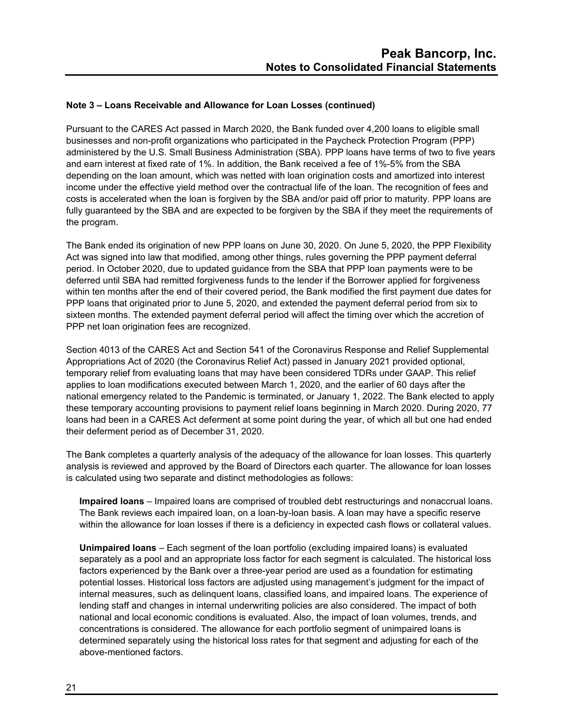Pursuant to the CARES Act passed in March 2020, the Bank funded over 4,200 loans to eligible small businesses and non-profit organizations who participated in the Paycheck Protection Program (PPP) administered by the U.S. Small Business Administration (SBA). PPP loans have terms of two to five years and earn interest at fixed rate of 1%. In addition, the Bank received a fee of 1%-5% from the SBA depending on the loan amount, which was netted with loan origination costs and amortized into interest income under the effective yield method over the contractual life of the loan. The recognition of fees and costs is accelerated when the loan is forgiven by the SBA and/or paid off prior to maturity. PPP loans are fully guaranteed by the SBA and are expected to be forgiven by the SBA if they meet the requirements of the program.

The Bank ended its origination of new PPP loans on June 30, 2020. On June 5, 2020, the PPP Flexibility Act was signed into law that modified, among other things, rules governing the PPP payment deferral period. In October 2020, due to updated guidance from the SBA that PPP loan payments were to be deferred until SBA had remitted forgiveness funds to the lender if the Borrower applied for forgiveness within ten months after the end of their covered period, the Bank modified the first payment due dates for PPP loans that originated prior to June 5, 2020, and extended the payment deferral period from six to sixteen months. The extended payment deferral period will affect the timing over which the accretion of PPP net loan origination fees are recognized.

Section 4013 of the CARES Act and Section 541 of the Coronavirus Response and Relief Supplemental Appropriations Act of 2020 (the Coronavirus Relief Act) passed in January 2021 provided optional, temporary relief from evaluating loans that may have been considered TDRs under GAAP. This relief applies to loan modifications executed between March 1, 2020, and the earlier of 60 days after the national emergency related to the Pandemic is terminated, or January 1, 2022. The Bank elected to apply these temporary accounting provisions to payment relief loans beginning in March 2020. During 2020, 77 loans had been in a CARES Act deferment at some point during the year, of which all but one had ended their deferment period as of December 31, 2020.

The Bank completes a quarterly analysis of the adequacy of the allowance for loan losses. This quarterly analysis is reviewed and approved by the Board of Directors each quarter. The allowance for loan losses is calculated using two separate and distinct methodologies as follows:

**Impaired loans** – Impaired loans are comprised of troubled debt restructurings and nonaccrual loans. The Bank reviews each impaired loan, on a loan-by-loan basis. A loan may have a specific reserve within the allowance for loan losses if there is a deficiency in expected cash flows or collateral values.

**Unimpaired loans** – Each segment of the loan portfolio (excluding impaired loans) is evaluated separately as a pool and an appropriate loss factor for each segment is calculated. The historical loss factors experienced by the Bank over a three-year period are used as a foundation for estimating potential losses. Historical loss factors are adjusted using management's judgment for the impact of internal measures, such as delinquent loans, classified loans, and impaired loans. The experience of lending staff and changes in internal underwriting policies are also considered. The impact of both national and local economic conditions is evaluated. Also, the impact of loan volumes, trends, and concentrations is considered. The allowance for each portfolio segment of unimpaired loans is determined separately using the historical loss rates for that segment and adjusting for each of the above-mentioned factors.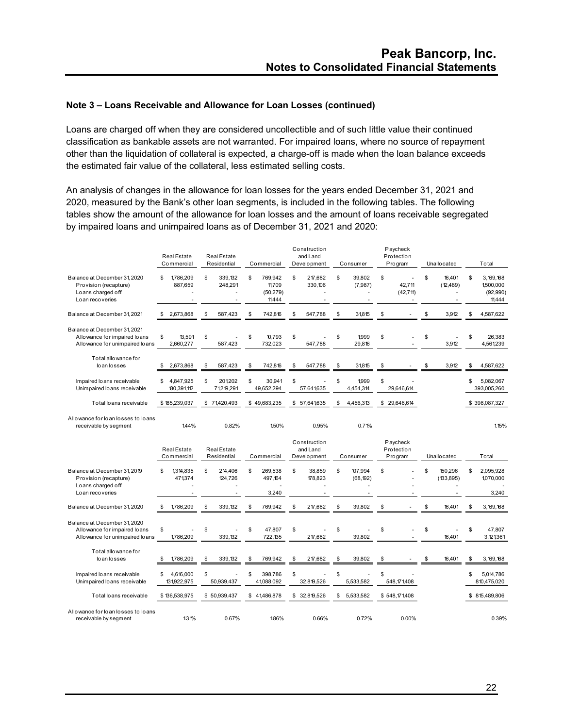Loans are charged off when they are considered uncollectible and of such little value their continued classification as bankable assets are not warranted. For impaired loans, where no source of repayment other than the liquidation of collateral is expected, a charge-off is made when the loan balance exceeds the estimated fair value of the collateral, less estimated selling costs.

An analysis of changes in the allowance for loan losses for the years ended December 31, 2021 and 2020, measured by the Bank's other loan segments, is included in the following tables. The following tables show the amount of the allowance for loan losses and the amount of loans receivable segregated by impaired loans and unimpaired loans as of December 31, 2021 and 2020:

|                                                                                                | Real Estate<br>Commercial        | Real Estate<br>Residential     | Commercial                                     | Construction<br>and Land<br>Development | Consumer                   | Paycheck<br>Protection<br>Program | Unallo cated                         | Total                                              |
|------------------------------------------------------------------------------------------------|----------------------------------|--------------------------------|------------------------------------------------|-----------------------------------------|----------------------------|-----------------------------------|--------------------------------------|----------------------------------------------------|
| Balance at December 31, 2020<br>Provision (recapture)<br>Loans charged off<br>Lo an recoveries | 1,786,209<br>\$<br>887,659       | \$<br>339,132<br>248,291<br>ä, | \$<br>769,942<br>11,709<br>(50, 279)<br>11,444 | \$<br>217,682<br>330,106                | \$<br>39,802<br>(7,987)    | \$<br>42,711<br>(42, 711)         | \$<br>16,401<br>(12, 489)<br>÷.<br>٠ | \$<br>3,169,168<br>1,500,000<br>(92,990)<br>11,444 |
| Balance at December 31, 2021                                                                   | 2.673.868                        | \$<br>587,423                  | \$<br>742,816                                  | 547,788<br>\$                           | \$<br>31,815               | S                                 | \$<br>3,912                          | 4,587,622<br>\$                                    |
| Balance at December 31, 2021<br>Allowance for impaired loans<br>Allowance for unimpaired loans | \$<br>13,591<br>2,660,277        | \$<br>587,423                  | \$<br>10,793<br>732,023                        | \$<br>547,788                           | \$<br>1,999<br>29,816      | \$                                | \$<br>3,912                          | \$<br>26,383<br>4,561,239                          |
| Total allowance for<br>lo an losses                                                            | 2,673,868<br>\$                  | \$<br>587,423                  | \$<br>742,816                                  | \$<br>547,788                           | \$<br>31,815               | \$                                | 3,912<br>\$                          | \$<br>4,587,622                                    |
| Impaired lo ans receivable<br>Unimpaired loans receivable                                      | 4,847,925<br>\$<br>180,391,112   | \$<br>201,202<br>71,219,291    | \$<br>30,941<br>49,652,294                     | \$<br>57,641,635                        | \$<br>1,999<br>4,454,314   | \$<br>29,646,614                  |                                      | \$<br>5,082,067<br>393,005,260                     |
| Total loans receivable                                                                         | \$185,239,037                    | \$71,420,493                   | \$49,683,235                                   | \$57,641,635                            | \$<br>4,456,313            | \$29,646,614                      |                                      | \$398,087,327                                      |
| Allowance for loan losses to loans<br>receivable by segment                                    | 1.44%                            | 0.82%                          | 1.50%                                          | 0.95%                                   | 0.71%                      |                                   |                                      | 1.15%                                              |
|                                                                                                |                                  |                                |                                                |                                         |                            |                                   |                                      |                                                    |
|                                                                                                | <b>Real Estate</b><br>Commercial | Real Estate<br>Residential     | Commercial                                     | Construction<br>and Land<br>Development | Consumer                   | Paycheck<br>Protection<br>Program | Unallo cated                         | Total                                              |
| Balance at December 31, 2019<br>Provision (recapture)                                          | \$<br>1,314,835<br>471,374       | \$<br>214,406<br>124,726       | \$<br>269,538<br>497,164                       | \$<br>38,859<br>178,823                 | \$<br>107,994<br>(68, 192) | \$                                | \$<br>150,296<br>(133, 895)          | \$<br>2,095,928<br>1,070,000                       |
| Loans charged off<br>Lo an recoveries                                                          |                                  |                                | 3.240                                          |                                         |                            |                                   |                                      | 3.240                                              |
| Balance at December 31, 2020                                                                   | 1,786,209                        | \$<br>339,132                  | 769,942<br>\$                                  | S<br>217,682                            | \$<br>39,802               | \$                                | \$<br>16,401                         | \$<br>3,169,168                                    |
| Balance at December 31, 2020<br>Allowance for impaired loans<br>Allowance for unimpaired loans | \$<br>1,786,209                  | \$<br>339,132                  | \$<br>47,807<br>722,135                        | \$<br>217,682                           | \$<br>39,802               | \$                                | \$<br>16,401                         | \$<br>47,807<br>3,121,361                          |
| Total allowance for<br>lo an losses                                                            | 1786,209<br>\$                   | 339,132<br>\$                  | 769,942<br>\$                                  | \$<br>217,682                           | \$<br>39,802               | \$                                | 16,401<br>\$                         | \$<br>3,169,168                                    |
| Impaired lo ans receivable<br>Unimpaired loans receivable                                      | \$<br>4,616,000<br>131,922,975   | \$<br>50,939,437               | \$<br>398,786<br>41,088,092                    | \$<br>32,819,526                        | \$<br>5,533,582            | \$<br>548, 171, 408               |                                      | \$<br>5,014,786<br>810,475,020                     |
| Total loans receivable                                                                         | \$136,538,975                    | \$50,939,437                   | \$41,486,878                                   | \$32,819,526                            | \$<br>5,533,582            | \$548,171,408                     |                                      | \$815,489,806                                      |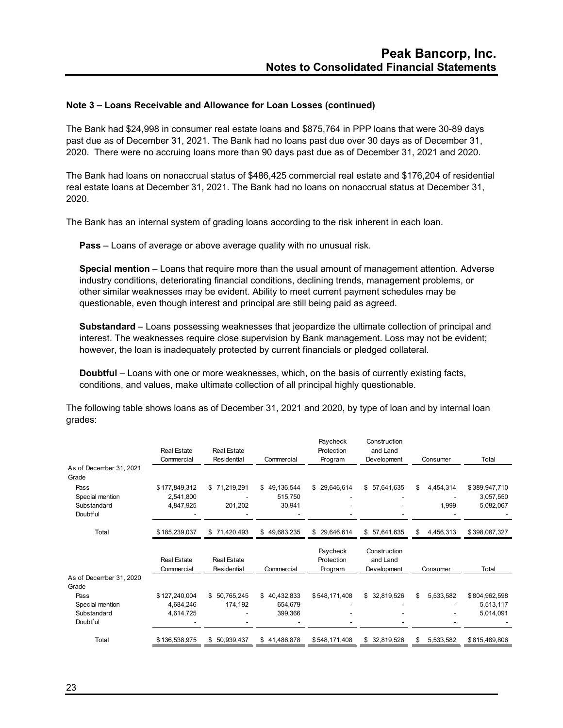The Bank had \$24,998 in consumer real estate loans and \$875,764 in PPP loans that were 30-89 days past due as of December 31, 2021. The Bank had no loans past due over 30 days as of December 31, 2020. There were no accruing loans more than 90 days past due as of December 31, 2021 and 2020.

The Bank had loans on nonaccrual status of \$486,425 commercial real estate and \$176,204 of residential real estate loans at December 31, 2021. The Bank had no loans on nonaccrual status at December 31, 2020.

The Bank has an internal system of grading loans according to the risk inherent in each loan.

**Pass** – Loans of average or above average quality with no unusual risk.

**Special mention** – Loans that require more than the usual amount of management attention. Adverse industry conditions, deteriorating financial conditions, declining trends, management problems, or other similar weaknesses may be evident. Ability to meet current payment schedules may be questionable, even though interest and principal are still being paid as agreed.

**Substandard** – Loans possessing weaknesses that jeopardize the ultimate collection of principal and interest. The weaknesses require close supervision by Bank management. Loss may not be evident; however, the loan is inadequately protected by current financials or pledged collateral.

**Doubtful** – Loans with one or more weaknesses, which, on the basis of currently existing facts, conditions, and values, make ultimate collection of all principal highly questionable.

The following table shows loans as of December 31, 2021 and 2020, by type of loan and by internal loan grades:

|                                  | <b>Real Estate</b><br>Commercial | <b>Real Estate</b><br>Residential | Commercial   | Paycheck<br>Protection<br>Program | Construction<br>and Land<br>Development | Consumer        | Total         |
|----------------------------------|----------------------------------|-----------------------------------|--------------|-----------------------------------|-----------------------------------------|-----------------|---------------|
| As of December 31, 2021<br>Grade |                                  |                                   |              |                                   |                                         |                 |               |
| Pass                             | \$177,849,312                    | \$71,219,291                      | \$49,136,544 | 29,646,614<br>\$                  | \$57,641,635                            | 4,454,314<br>\$ | \$389,947,710 |
| Special mention                  | 2,541,800                        |                                   | 515,750      |                                   |                                         |                 | 3,057,550     |
| Substandard                      | 4,847,925                        | 201,202                           | 30,941       |                                   |                                         | 1,999           | 5,082,067     |
| Doubtful                         |                                  |                                   |              |                                   |                                         |                 |               |
| Total                            | \$185,239,037                    | \$71,420,493                      | \$49,683,235 | 29,646,614<br>\$                  | \$57,641,635                            | 4,456,313<br>\$ | \$398,087,327 |
|                                  | <b>Real Estate</b><br>Commercial | <b>Real Estate</b><br>Residential |              | Paycheck<br>Protection            | Construction<br>and Land                |                 |               |
|                                  |                                  |                                   | Commercial   | Program                           | Development                             | Consumer        | Total         |
| As of December 31, 2020          |                                  |                                   |              |                                   |                                         |                 |               |
| Grade                            |                                  |                                   |              |                                   |                                         |                 |               |
| Pass                             | \$127,240,004                    | \$50,765,245                      | \$40,432,833 | \$548,171,408                     | \$ 32,819,526                           | 5,533,582<br>\$ | \$804,962,598 |
| Special mention                  | 4,684,246                        | 174,192                           | 654,679      |                                   |                                         |                 | 5,513,117     |
| Substandard                      | 4,614,725                        |                                   | 399,366      |                                   |                                         |                 | 5,014,091     |
| Doubtful                         |                                  |                                   |              |                                   |                                         |                 |               |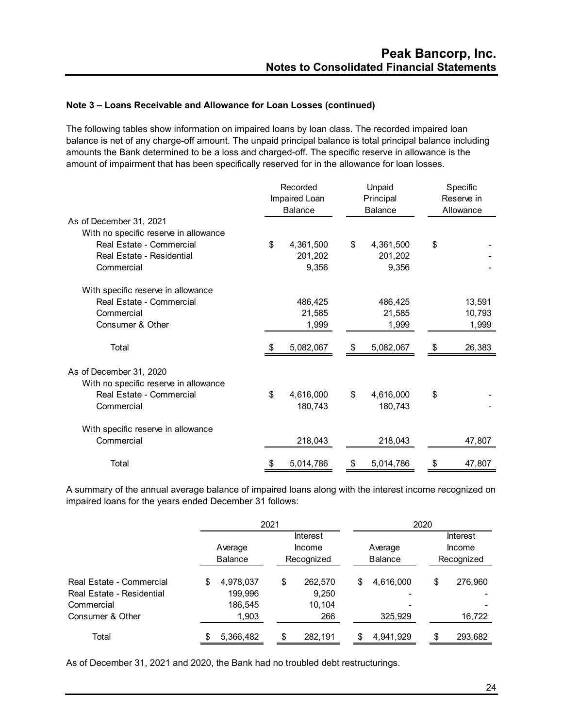The following tables show information on impaired loans by loan class. The recorded impaired loan balance is net of any charge-off amount. The unpaid principal balance is total principal balance including amounts the Bank determined to be a loss and charged-off. The specific reserve in allowance is the amount of impairment that has been specifically reserved for in the allowance for loan losses.

|                                       | Recorded<br>Impaired Loan<br><b>Balance</b> |           | Unpaid<br>Principal<br><b>Balance</b> |           | Specific<br>Reserve in<br>Allowance |        |
|---------------------------------------|---------------------------------------------|-----------|---------------------------------------|-----------|-------------------------------------|--------|
| As of December 31, 2021               |                                             |           |                                       |           |                                     |        |
| With no specific reserve in allowance |                                             |           |                                       |           |                                     |        |
| Real Estate - Commercial              | \$                                          | 4,361,500 | \$                                    | 4,361,500 | \$                                  |        |
| Real Estate - Residential             |                                             | 201,202   |                                       | 201,202   |                                     |        |
| Commercial                            |                                             | 9,356     |                                       | 9,356     |                                     |        |
| With specific reserve in allowance    |                                             |           |                                       |           |                                     |        |
| Real Estate - Commercial              |                                             | 486,425   |                                       | 486,425   |                                     | 13,591 |
| Commercial                            |                                             | 21,585    |                                       | 21,585    |                                     | 10,793 |
| Consumer & Other                      |                                             | 1,999     |                                       | 1,999     |                                     | 1,999  |
| Total                                 | \$                                          | 5,082,067 | \$                                    | 5,082,067 | \$                                  | 26,383 |
| As of December 31, 2020               |                                             |           |                                       |           |                                     |        |
| With no specific reserve in allowance |                                             |           |                                       |           |                                     |        |
| Real Estate - Commercial              | \$                                          | 4,616,000 | \$                                    | 4,616,000 | \$                                  |        |
| Commercial                            |                                             | 180,743   |                                       | 180,743   |                                     |        |
| With specific reserve in allowance    |                                             |           |                                       |           |                                     |        |
| Commercial                            |                                             | 218,043   |                                       | 218,043   |                                     | 47,807 |
| Total                                 | \$                                          | 5,014,786 | \$                                    | 5,014,786 | \$                                  | 47,807 |

A summary of the annual average balance of impaired loans along with the interest income recognized on impaired loans for the years ended December 31 follows:

|                           |     | 2021           |            |                 |     | 2020                     |    |                 |  |
|---------------------------|-----|----------------|------------|-----------------|-----|--------------------------|----|-----------------|--|
|                           |     |                |            | <b>Interest</b> |     |                          |    | <b>Interest</b> |  |
|                           |     | Average        |            | Income          |     | Average                  |    | Income          |  |
|                           |     | <b>Balance</b> | Recognized |                 |     | <b>Balance</b>           |    | Recognized      |  |
| Real Estate - Commercial  | \$  | 4,978,037      | \$         | 262,570         | \$  | 4,616,000                | \$ | 276,960         |  |
| Real Estate - Residential |     | 199,996        |            | 9,250           |     | $\overline{\phantom{0}}$ |    |                 |  |
| Commercial                |     | 186,545        |            | 10.104          |     |                          |    |                 |  |
| Consumer & Other          |     | 1,903          |            | 266             |     | 325,929                  |    | 16,722          |  |
| Total                     | \$. | 5,366,482      | \$         | 282,191         | \$. | 4,941,929                | \$ | 293,682         |  |

As of December 31, 2021 and 2020, the Bank had no troubled debt restructurings.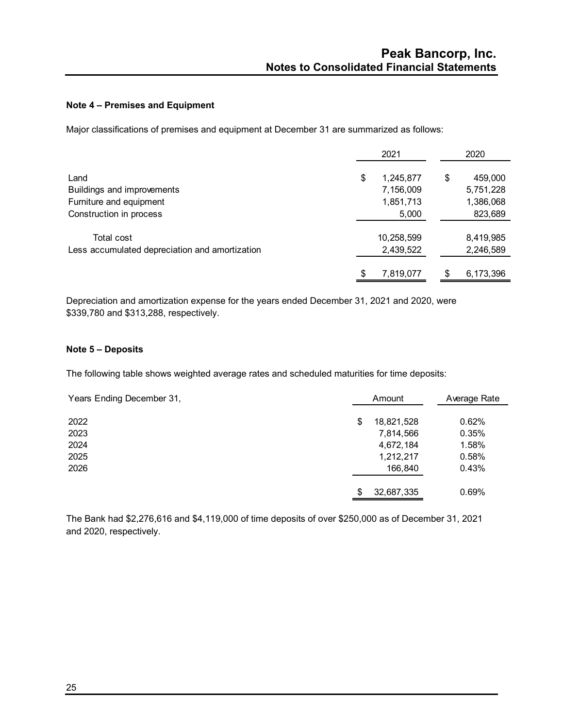#### **Note 4 – Premises and Equipment**

Major classifications of premises and equipment at December 31 are summarized as follows:

|                                                | 2021            |    | 2020      |
|------------------------------------------------|-----------------|----|-----------|
| Land                                           | \$<br>1,245,877 | \$ | 459,000   |
| Buildings and improvements                     | 7,156,009       |    | 5,751,228 |
| Furniture and equipment                        | 1,851,713       |    | 1,386,068 |
| Construction in process                        | 5,000           |    | 823,689   |
| Total cost                                     | 10,258,599      |    | 8,419,985 |
| Less accumulated depreciation and amortization | 2,439,522       |    | 2,246,589 |
|                                                | \$<br>7,819,077 | S  | 6,173,396 |

Depreciation and amortization expense for the years ended December 31, 2021 and 2020, were \$339,780 and \$313,288, respectively.

#### **Note 5 – Deposits**

The following table shows weighted average rates and scheduled maturities for time deposits:

| Years Ending December 31, | Amount |            | Average Rate |  |  |
|---------------------------|--------|------------|--------------|--|--|
|                           |        |            |              |  |  |
| 2022                      | \$     | 18,821,528 | 0.62%        |  |  |
| 2023                      |        | 7,814,566  | 0.35%        |  |  |
| 2024                      |        | 4,672,184  | 1.58%        |  |  |
| 2025                      |        | 1,212,217  | 0.58%        |  |  |
| 2026                      |        | 166,840    | 0.43%        |  |  |
|                           |        |            |              |  |  |
|                           | S      | 32,687,335 | 0.69%        |  |  |

The Bank had \$2,276,616 and \$4,119,000 of time deposits of over \$250,000 as of December 31, 2021 and 2020, respectively.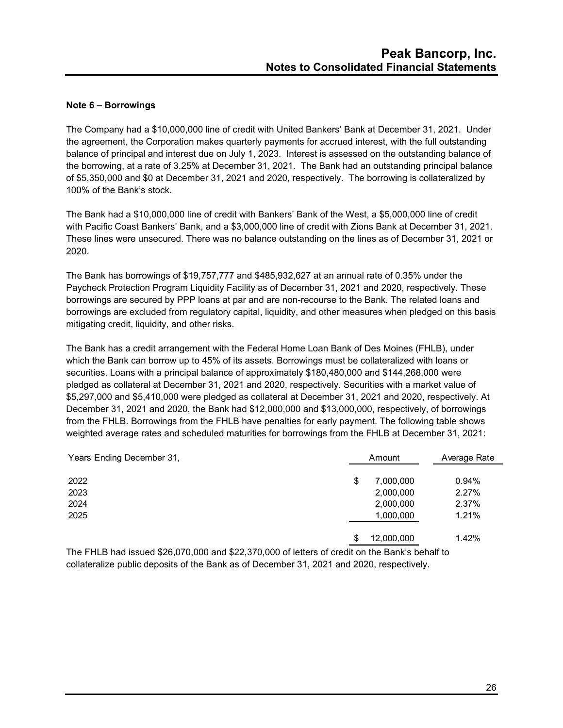#### **Note 6 – Borrowings**

The Company had a \$10,000,000 line of credit with United Bankers' Bank at December 31, 2021. Under the agreement, the Corporation makes quarterly payments for accrued interest, with the full outstanding balance of principal and interest due on July 1, 2023. Interest is assessed on the outstanding balance of the borrowing, at a rate of 3.25% at December 31, 2021. The Bank had an outstanding principal balance of \$5,350,000 and \$0 at December 31, 2021 and 2020, respectively. The borrowing is collateralized by 100% of the Bank's stock.

The Bank had a \$10,000,000 line of credit with Bankers' Bank of the West, a \$5,000,000 line of credit with Pacific Coast Bankers' Bank, and a \$3,000,000 line of credit with Zions Bank at December 31, 2021. These lines were unsecured. There was no balance outstanding on the lines as of December 31, 2021 or 2020.

The Bank has borrowings of \$19,757,777 and \$485,932,627 at an annual rate of 0.35% under the Paycheck Protection Program Liquidity Facility as of December 31, 2021 and 2020, respectively. These borrowings are secured by PPP loans at par and are non-recourse to the Bank. The related loans and borrowings are excluded from regulatory capital, liquidity, and other measures when pledged on this basis mitigating credit, liquidity, and other risks.

The Bank has a credit arrangement with the Federal Home Loan Bank of Des Moines (FHLB), under which the Bank can borrow up to 45% of its assets. Borrowings must be collateralized with loans or securities. Loans with a principal balance of approximately \$180,480,000 and \$144,268,000 were pledged as collateral at December 31, 2021 and 2020, respectively. Securities with a market value of \$5,297,000 and \$5,410,000 were pledged as collateral at December 31, 2021 and 2020, respectively. At December 31, 2021 and 2020, the Bank had \$12,000,000 and \$13,000,000, respectively, of borrowings from the FHLB. Borrowings from the FHLB have penalties for early payment. The following table shows weighted average rates and scheduled maturities for borrowings from the FHLB at December 31, 2021:

| Years Ending December 31, | Amount           |       |  |
|---------------------------|------------------|-------|--|
| 2022                      | \$<br>7,000,000  | 0.94% |  |
| 2023                      | 2,000,000        | 2.27% |  |
| 2024                      | 2,000,000        | 2.37% |  |
| 2025                      | 1,000,000        | 1.21% |  |
|                           | \$<br>12,000,000 | 1.42% |  |

The FHLB had issued \$26,070,000 and \$22,370,000 of letters of credit on the Bank's behalf to collateralize public deposits of the Bank as of December 31, 2021 and 2020, respectively.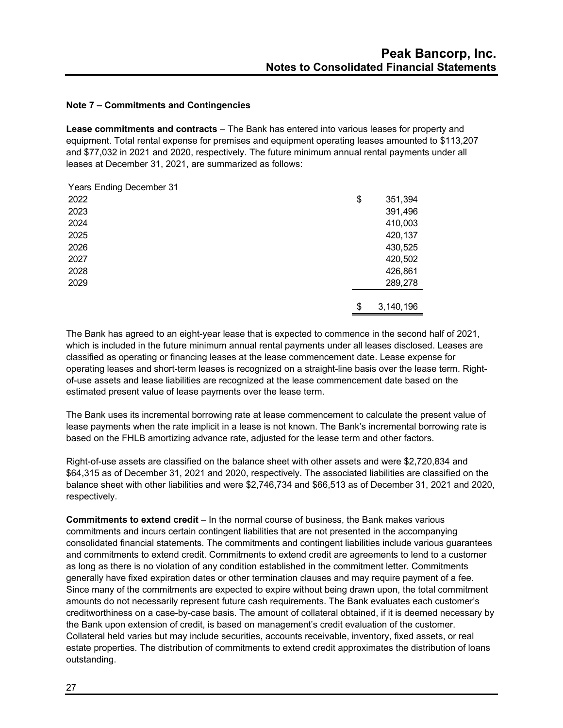#### **Note 7 – Commitments and Contingencies**

**Lease commitments and contracts** – The Bank has entered into various leases for property and equipment. Total rental expense for premises and equipment operating leases amounted to \$113,207 and \$77,032 in 2021 and 2020, respectively. The future minimum annual rental payments under all leases at December 31, 2021, are summarized as follows:

| Years Ending December 31 |                   |
|--------------------------|-------------------|
| 2022                     | \$<br>351,394     |
| 2023                     | 391,496           |
| 2024                     | 410,003           |
| 2025                     | 420,137           |
| 2026                     | 430,525           |
| 2027                     | 420,502           |
| 2028                     | 426,861           |
| 2029                     | 289,278           |
|                          |                   |
|                          | \$<br>3, 140, 196 |

The Bank has agreed to an eight-year lease that is expected to commence in the second half of 2021, which is included in the future minimum annual rental payments under all leases disclosed. Leases are classified as operating or financing leases at the lease commencement date. Lease expense for operating leases and short-term leases is recognized on a straight-line basis over the lease term. Rightof-use assets and lease liabilities are recognized at the lease commencement date based on the estimated present value of lease payments over the lease term.

The Bank uses its incremental borrowing rate at lease commencement to calculate the present value of lease payments when the rate implicit in a lease is not known. The Bank's incremental borrowing rate is based on the FHLB amortizing advance rate, adjusted for the lease term and other factors.

Right-of-use assets are classified on the balance sheet with other assets and were \$2,720,834 and \$64,315 as of December 31, 2021 and 2020, respectively. The associated liabilities are classified on the balance sheet with other liabilities and were \$2,746,734 and \$66,513 as of December 31, 2021 and 2020, respectively.

**Commitments to extend credit** – In the normal course of business, the Bank makes various commitments and incurs certain contingent liabilities that are not presented in the accompanying consolidated financial statements. The commitments and contingent liabilities include various guarantees and commitments to extend credit. Commitments to extend credit are agreements to lend to a customer as long as there is no violation of any condition established in the commitment letter. Commitments generally have fixed expiration dates or other termination clauses and may require payment of a fee. Since many of the commitments are expected to expire without being drawn upon, the total commitment amounts do not necessarily represent future cash requirements. The Bank evaluates each customer's creditworthiness on a case-by-case basis. The amount of collateral obtained, if it is deemed necessary by the Bank upon extension of credit, is based on management's credit evaluation of the customer. Collateral held varies but may include securities, accounts receivable, inventory, fixed assets, or real estate properties. The distribution of commitments to extend credit approximates the distribution of loans outstanding.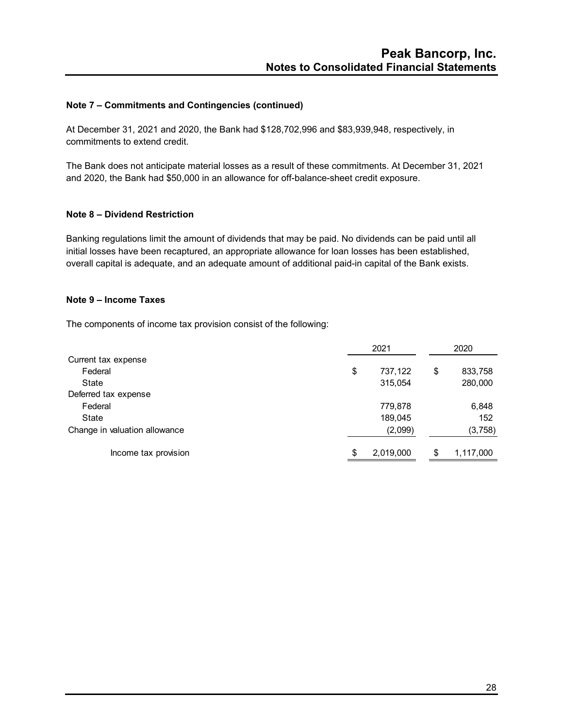#### **Note 7 – Commitments and Contingencies (continued)**

At December 31, 2021 and 2020, the Bank had \$128,702,996 and \$83,939,948, respectively, in commitments to extend credit.

The Bank does not anticipate material losses as a result of these commitments. At December 31, 2021 and 2020, the Bank had \$50,000 in an allowance for off-balance-sheet credit exposure.

#### **Note 8 – Dividend Restriction**

Banking regulations limit the amount of dividends that may be paid. No dividends can be paid until all initial losses have been recaptured, an appropriate allowance for loan losses has been established, overall capital is adequate, and an adequate amount of additional paid-in capital of the Bank exists.

#### **Note 9 – Income Taxes**

The components of income tax provision consist of the following:

|                               | 2021 |           | 2020 |           |
|-------------------------------|------|-----------|------|-----------|
| Current tax expense           |      |           |      |           |
| Federal                       | \$   | 737,122   | \$   | 833,758   |
| State                         |      | 315,054   |      | 280,000   |
| Deferred tax expense          |      |           |      |           |
| Federal                       |      | 779,878   |      | 6,848     |
| State                         |      | 189,045   |      | 152       |
| Change in valuation allowance |      | (2,099)   |      | (3,758)   |
| Income tax provision          |      | 2,019,000 | \$   | 1,117,000 |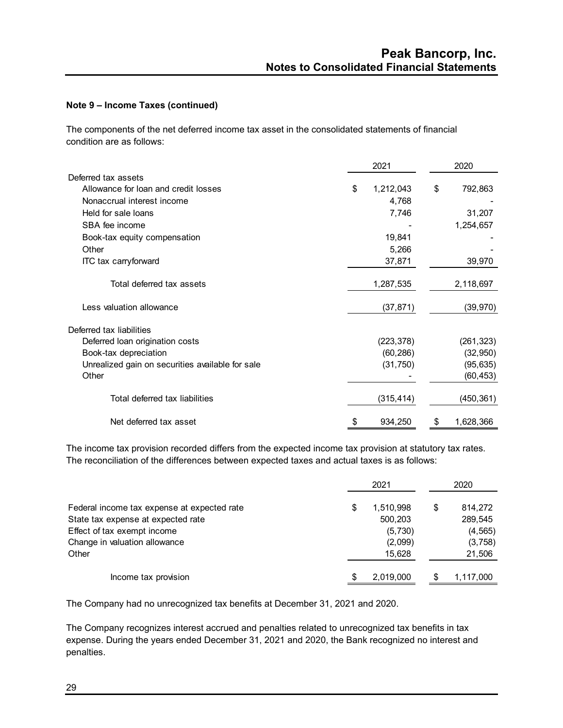#### **Note 9 – Income Taxes (continued)**

The components of the net deferred income tax asset in the consolidated statements of financial condition are as follows:

|                                                  |    | 2021       | 2020            |
|--------------------------------------------------|----|------------|-----------------|
| Deferred tax assets                              |    |            |                 |
| Allowance for loan and credit losses             | \$ | 1,212,043  | \$<br>792,863   |
| Nonaccrual interest income                       |    | 4,768      |                 |
| Held for sale loans                              |    | 7,746      | 31,207          |
| SBA fee income                                   |    |            | 1,254,657       |
| Book-tax equity compensation                     |    | 19,841     |                 |
| Other                                            |    | 5,266      |                 |
| ITC tax carryforward                             |    | 37,871     | 39,970          |
| Total deferred tax assets                        |    | 1,287,535  | 2,118,697       |
| Less valuation allowance                         |    | (37, 871)  | (39, 970)       |
| Deferred tax liabilities                         |    |            |                 |
| Deferred loan origination costs                  |    | (223, 378) | (261, 323)      |
| Book-tax depreciation                            |    | (60, 286)  | (32, 950)       |
| Unrealized gain on securities available for sale |    | (31, 750)  | (95, 635)       |
| Other                                            |    |            | (60, 453)       |
| Total deferred tax liabilities                   |    | (315, 414) | (450, 361)      |
| Net deferred tax asset                           | 3  | 934,250    | \$<br>1,628,366 |

The income tax provision recorded differs from the expected income tax provision at statutory tax rates. The reconciliation of the differences between expected taxes and actual taxes is as follows:

|                                             | 2021 |           |    | 2020      |  |  |
|---------------------------------------------|------|-----------|----|-----------|--|--|
| Federal income tax expense at expected rate | \$   | 1,510,998 | \$ | 814,272   |  |  |
| State tax expense at expected rate          |      | 500,203   |    | 289,545   |  |  |
| Effect of tax exempt income                 |      | (5,730)   |    | (4, 565)  |  |  |
| Change in valuation allowance               |      | (2,099)   |    | (3,758)   |  |  |
| Other                                       |      | 15,628    |    | 21,506    |  |  |
| Income tax provision                        |      | 2,019,000 | S  | 1,117,000 |  |  |

The Company had no unrecognized tax benefits at December 31, 2021 and 2020.

The Company recognizes interest accrued and penalties related to unrecognized tax benefits in tax expense. During the years ended December 31, 2021 and 2020, the Bank recognized no interest and penalties.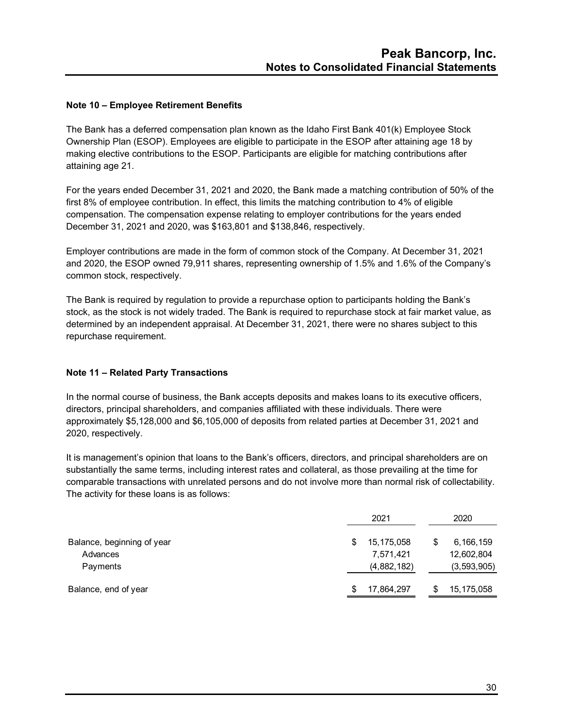#### **Note 10 – Employee Retirement Benefits**

The Bank has a deferred compensation plan known as the Idaho First Bank 401(k) Employee Stock Ownership Plan (ESOP). Employees are eligible to participate in the ESOP after attaining age 18 by making elective contributions to the ESOP. Participants are eligible for matching contributions after attaining age 21.

For the years ended December 31, 2021 and 2020, the Bank made a matching contribution of 50% of the first 8% of employee contribution. In effect, this limits the matching contribution to 4% of eligible compensation. The compensation expense relating to employer contributions for the years ended December 31, 2021 and 2020, was \$163,801 and \$138,846, respectively.

Employer contributions are made in the form of common stock of the Company. At December 31, 2021 and 2020, the ESOP owned 79,911 shares, representing ownership of 1.5% and 1.6% of the Company's common stock, respectively.

The Bank is required by regulation to provide a repurchase option to participants holding the Bank's stock, as the stock is not widely traded. The Bank is required to repurchase stock at fair market value, as determined by an independent appraisal. At December 31, 2021, there were no shares subject to this repurchase requirement.

#### **Note 11 – Related Party Transactions**

In the normal course of business, the Bank accepts deposits and makes loans to its executive officers, directors, principal shareholders, and companies affiliated with these individuals. There were approximately \$5,128,000 and \$6,105,000 of deposits from related parties at December 31, 2021 and 2020, respectively.

It is management's opinion that loans to the Bank's officers, directors, and principal shareholders are on substantially the same terms, including interest rates and collateral, as those prevailing at the time for comparable transactions with unrelated persons and do not involve more than normal risk of collectability. The activity for these loans is as follows:

|                            | 2021 |              |   | 2020         |  |  |
|----------------------------|------|--------------|---|--------------|--|--|
| Balance, beginning of year | S    | 15, 175, 058 | S | 6,166,159    |  |  |
| Advances                   |      | 7,571,421    |   | 12,602,804   |  |  |
| Payments                   |      | (4,882,182)  |   | (3,593,905)  |  |  |
| Balance, end of year       |      | 17,864,297   |   | 15, 175, 058 |  |  |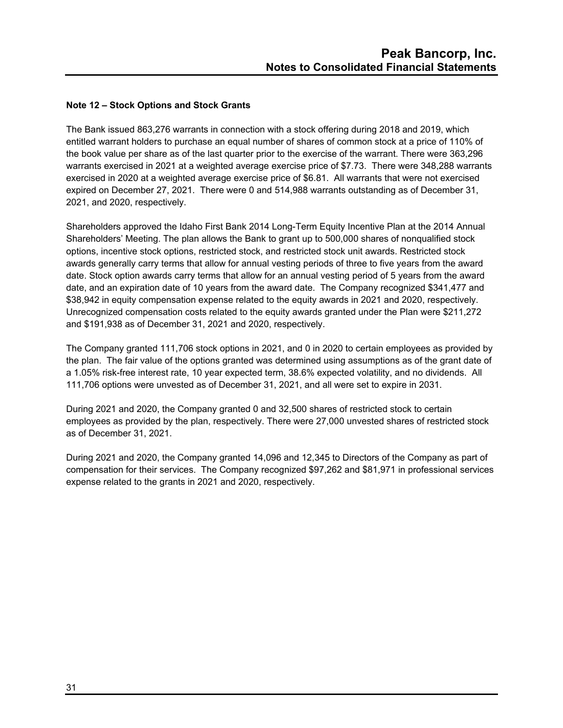#### **Note 12 – Stock Options and Stock Grants**

The Bank issued 863,276 warrants in connection with a stock offering during 2018 and 2019, which entitled warrant holders to purchase an equal number of shares of common stock at a price of 110% of the book value per share as of the last quarter prior to the exercise of the warrant. There were 363,296 warrants exercised in 2021 at a weighted average exercise price of \$7.73. There were 348,288 warrants exercised in 2020 at a weighted average exercise price of \$6.81. All warrants that were not exercised expired on December 27, 2021. There were 0 and 514,988 warrants outstanding as of December 31, 2021, and 2020, respectively.

Shareholders approved the Idaho First Bank 2014 Long-Term Equity Incentive Plan at the 2014 Annual Shareholders' Meeting. The plan allows the Bank to grant up to 500,000 shares of nonqualified stock options, incentive stock options, restricted stock, and restricted stock unit awards. Restricted stock awards generally carry terms that allow for annual vesting periods of three to five years from the award date. Stock option awards carry terms that allow for an annual vesting period of 5 years from the award date, and an expiration date of 10 years from the award date. The Company recognized \$341,477 and \$38,942 in equity compensation expense related to the equity awards in 2021 and 2020, respectively. Unrecognized compensation costs related to the equity awards granted under the Plan were \$211,272 and \$191,938 as of December 31, 2021 and 2020, respectively.

The Company granted 111,706 stock options in 2021, and 0 in 2020 to certain employees as provided by the plan. The fair value of the options granted was determined using assumptions as of the grant date of a 1.05% risk-free interest rate, 10 year expected term, 38.6% expected volatility, and no dividends. All 111,706 options were unvested as of December 31, 2021, and all were set to expire in 2031.

During 2021 and 2020, the Company granted 0 and 32,500 shares of restricted stock to certain employees as provided by the plan, respectively. There were 27,000 unvested shares of restricted stock as of December 31, 2021.

During 2021 and 2020, the Company granted 14,096 and 12,345 to Directors of the Company as part of compensation for their services. The Company recognized \$97,262 and \$81,971 in professional services expense related to the grants in 2021 and 2020, respectively.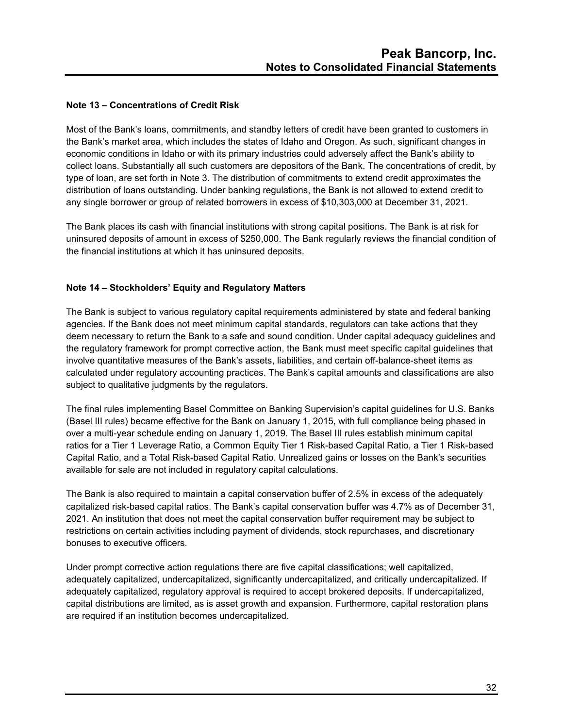#### **Note 13 – Concentrations of Credit Risk**

Most of the Bank's loans, commitments, and standby letters of credit have been granted to customers in the Bank's market area, which includes the states of Idaho and Oregon. As such, significant changes in economic conditions in Idaho or with its primary industries could adversely affect the Bank's ability to collect loans. Substantially all such customers are depositors of the Bank. The concentrations of credit, by type of loan, are set forth in Note 3. The distribution of commitments to extend credit approximates the distribution of loans outstanding. Under banking regulations, the Bank is not allowed to extend credit to any single borrower or group of related borrowers in excess of \$10,303,000 at December 31, 2021.

The Bank places its cash with financial institutions with strong capital positions. The Bank is at risk for uninsured deposits of amount in excess of \$250,000. The Bank regularly reviews the financial condition of the financial institutions at which it has uninsured deposits.

#### **Note 14 – Stockholders' Equity and Regulatory Matters**

The Bank is subject to various regulatory capital requirements administered by state and federal banking agencies. If the Bank does not meet minimum capital standards, regulators can take actions that they deem necessary to return the Bank to a safe and sound condition. Under capital adequacy guidelines and the regulatory framework for prompt corrective action, the Bank must meet specific capital guidelines that involve quantitative measures of the Bank's assets, liabilities, and certain off-balance-sheet items as calculated under regulatory accounting practices. The Bank's capital amounts and classifications are also subject to qualitative judgments by the regulators.

The final rules implementing Basel Committee on Banking Supervision's capital guidelines for U.S. Banks (Basel III rules) became effective for the Bank on January 1, 2015, with full compliance being phased in over a multi-year schedule ending on January 1, 2019. The Basel III rules establish minimum capital ratios for a Tier 1 Leverage Ratio, a Common Equity Tier 1 Risk-based Capital Ratio, a Tier 1 Risk-based Capital Ratio, and a Total Risk-based Capital Ratio. Unrealized gains or losses on the Bank's securities available for sale are not included in regulatory capital calculations.

The Bank is also required to maintain a capital conservation buffer of 2.5% in excess of the adequately capitalized risk-based capital ratios. The Bank's capital conservation buffer was 4.7% as of December 31, 2021. An institution that does not meet the capital conservation buffer requirement may be subject to restrictions on certain activities including payment of dividends, stock repurchases, and discretionary bonuses to executive officers.

Under prompt corrective action regulations there are five capital classifications; well capitalized, adequately capitalized, undercapitalized, significantly undercapitalized, and critically undercapitalized. If adequately capitalized, regulatory approval is required to accept brokered deposits. If undercapitalized, capital distributions are limited, as is asset growth and expansion. Furthermore, capital restoration plans are required if an institution becomes undercapitalized.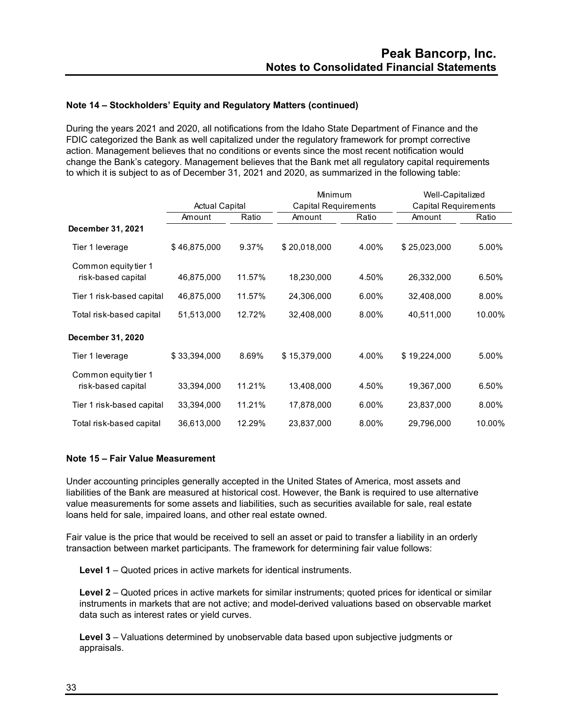#### **Note 14 – Stockholders' Equity and Regulatory Matters (continued)**

During the years 2021 and 2020, all notifications from the Idaho State Department of Finance and the FDIC categorized the Bank as well capitalized under the regulatory framework for prompt corrective action. Management believes that no conditions or events since the most recent notification would change the Bank's category. Management believes that the Bank met all regulatory capital requirements to which it is subject to as of December 31, 2021 and 2020, as summarized in the following table:

|                                            |                       |        | Minimum                     |          | Well-Capitalized            |        |  |
|--------------------------------------------|-----------------------|--------|-----------------------------|----------|-----------------------------|--------|--|
|                                            | <b>Actual Capital</b> |        | <b>Capital Requirements</b> |          | <b>Capital Requirements</b> |        |  |
|                                            | Amount                | Ratio  | Amount                      | Ratio    | Amount                      | Ratio  |  |
| December 31, 2021                          |                       |        |                             |          |                             |        |  |
| Tier 1 leverage                            | \$46,875,000          | 9.37%  | \$20,018,000                | 4.00%    | \$25,023,000                | 5.00%  |  |
| Common equity tier 1<br>risk-based capital | 46,875,000            | 11.57% | 18,230,000                  | 4.50%    | 26,332,000                  | 6.50%  |  |
| Tier 1 risk-based capital                  | 46,875,000            | 11.57% | 24,306,000                  | 6.00%    | 32,408,000                  | 8.00%  |  |
| Total risk-based capital                   | 51,513,000            | 12.72% | 32,408,000                  | 8.00%    | 40,511,000                  | 10.00% |  |
| December 31, 2020                          |                       |        |                             |          |                             |        |  |
| Tier 1 leverage                            | \$33,394,000          | 8.69%  | \$15,379,000                | 4.00%    | \$19,224,000                | 5.00%  |  |
| Common equity tier 1<br>risk-based capital | 33,394,000            | 11.21% | 13,408,000                  | 4.50%    | 19,367,000                  | 6.50%  |  |
| Tier 1 risk-based capital                  | 33,394,000            | 11.21% | 17,878,000                  | $6.00\%$ | 23,837,000                  | 8.00%  |  |
| Total risk-based capital                   | 36,613,000            | 12.29% | 23,837,000                  | 8.00%    | 29,796,000                  | 10.00% |  |

#### **Note 15 – Fair Value Measurement**

Under accounting principles generally accepted in the United States of America, most assets and liabilities of the Bank are measured at historical cost. However, the Bank is required to use alternative value measurements for some assets and liabilities, such as securities available for sale, real estate loans held for sale, impaired loans, and other real estate owned.

Fair value is the price that would be received to sell an asset or paid to transfer a liability in an orderly transaction between market participants. The framework for determining fair value follows:

**Level 1** – Quoted prices in active markets for identical instruments.

**Level 2** – Quoted prices in active markets for similar instruments; quoted prices for identical or similar instruments in markets that are not active; and model-derived valuations based on observable market data such as interest rates or yield curves.

**Level 3** – Valuations determined by unobservable data based upon subjective judgments or appraisals.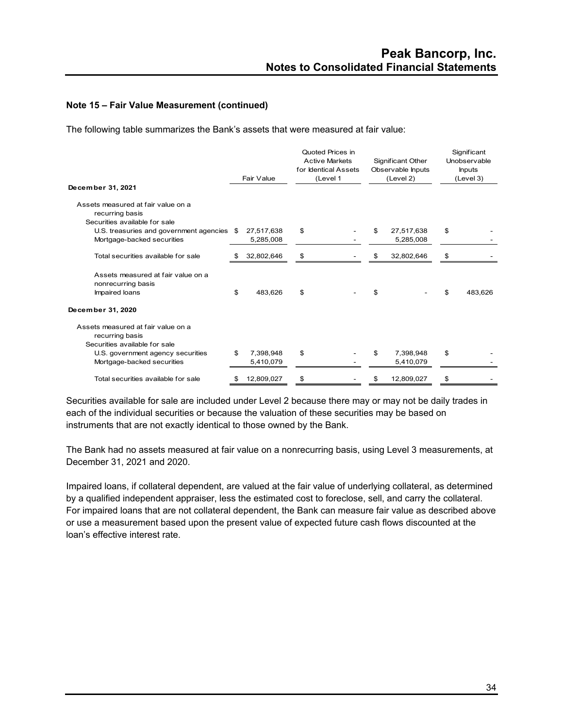#### **Note 15 – Fair Value Measurement (continued)**

The following table summarizes the Bank's assets that were measured at fair value:

|                                                                                        |    | Fair Value | Quoted Prices in<br><b>Active Markets</b><br>for Identical Assets<br>(Level 1 |    | Significant Other<br>Observable Inputs<br>(Level 2) | Significant<br>Unobservable<br><b>Inputs</b><br>(Level 3) |
|----------------------------------------------------------------------------------------|----|------------|-------------------------------------------------------------------------------|----|-----------------------------------------------------|-----------------------------------------------------------|
| December 31, 2021                                                                      |    |            |                                                                               |    |                                                     |                                                           |
| Assets measured at fair value on a<br>recurring basis                                  |    |            |                                                                               |    |                                                     |                                                           |
| Securities available for sale                                                          |    |            |                                                                               |    |                                                     |                                                           |
| U.S. treasuries and government agencies                                                | \$ | 27,517,638 | \$                                                                            | \$ | 27,517,638                                          | \$                                                        |
| Mortgage-backed securities                                                             |    | 5,285,008  |                                                                               |    | 5,285,008                                           |                                                           |
| Total securities available for sale                                                    | S  | 32,802,646 | \$                                                                            | æ. | 32,802,646                                          | \$                                                        |
| Assets measured at fair value on a<br>nonrecurring basis                               |    |            |                                                                               |    |                                                     |                                                           |
| Impaired loans                                                                         | \$ | 483,626    | \$                                                                            | \$ |                                                     | \$<br>483,626                                             |
| December 31, 2020                                                                      |    |            |                                                                               |    |                                                     |                                                           |
| Assets measured at fair value on a<br>recurring basis<br>Securities available for sale |    |            |                                                                               |    |                                                     |                                                           |
|                                                                                        |    |            |                                                                               |    |                                                     |                                                           |
| U.S. government agency securities                                                      | \$ | 7,398,948  | \$                                                                            | \$ | 7,398,948                                           | \$                                                        |
| Mortgage-backed securities                                                             |    | 5,410,079  |                                                                               |    | 5,410,079                                           |                                                           |
| Total securities available for sale                                                    |    | 12,809,027 | \$                                                                            |    | 12,809,027                                          | \$                                                        |

Securities available for sale are included under Level 2 because there may or may not be daily trades in each of the individual securities or because the valuation of these securities may be based on instruments that are not exactly identical to those owned by the Bank.

The Bank had no assets measured at fair value on a nonrecurring basis, using Level 3 measurements, at December 31, 2021 and 2020.

Impaired loans, if collateral dependent, are valued at the fair value of underlying collateral, as determined by a qualified independent appraiser, less the estimated cost to foreclose, sell, and carry the collateral. For impaired loans that are not collateral dependent, the Bank can measure fair value as described above or use a measurement based upon the present value of expected future cash flows discounted at the loan's effective interest rate.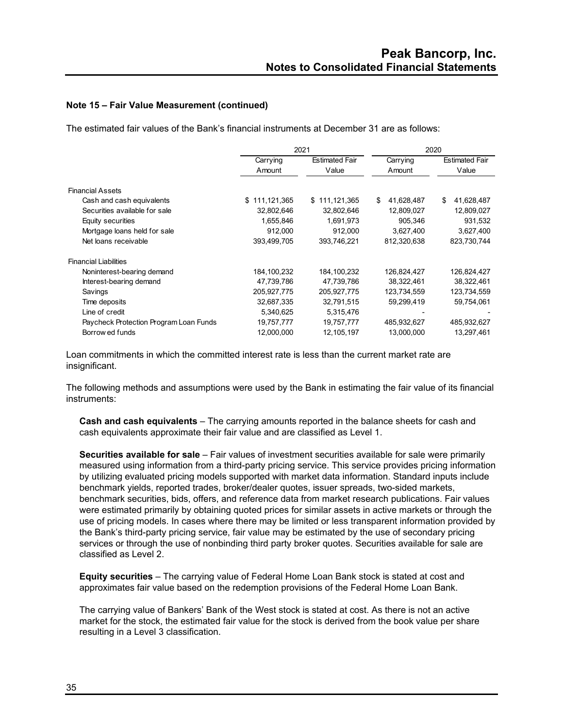#### **Note 15 – Fair Value Measurement (continued)**

The estimated fair values of the Bank's financial instruments at December 31 are as follows:

|                                        | 2021              |                       | 2020             |                       |  |
|----------------------------------------|-------------------|-----------------------|------------------|-----------------------|--|
|                                        | Carrying          | <b>Estimated Fair</b> | Carrying         | <b>Estimated Fair</b> |  |
|                                        | Amount            | Value                 | Amount           | Value                 |  |
| <b>Financial Assets</b>                |                   |                       |                  |                       |  |
| Cash and cash equivalents              | 111,121,365<br>\$ | \$111,121,365         | 41,628,487<br>\$ | 41,628,487<br>\$      |  |
| Securities available for sale          | 32,802,646        | 32,802,646            | 12,809,027       | 12,809,027            |  |
| Equity securities                      | 1,655,846         | 1,691,973             | 905,346          | 931,532               |  |
| Mortgage loans held for sale           | 912,000           | 912,000               | 3,627,400        | 3,627,400             |  |
| Net loans receivable                   | 393,499,705       | 393,746,221           | 812,320,638      | 823,730,744           |  |
| <b>Financial Liabilities</b>           |                   |                       |                  |                       |  |
| Noninterest-bearing demand             | 184,100,232       | 184,100,232           | 126,824,427      | 126,824,427           |  |
| Interest-bearing demand                | 47,739,786        | 47,739,786            | 38,322,461       | 38,322,461            |  |
| Savings                                | 205,927,775       | 205,927,775           | 123,734,559      | 123,734,559           |  |
| Time deposits                          | 32,687,335        | 32,791,515            | 59,299,419       | 59,754,061            |  |
| Line of credit                         | 5,340,625         | 5,315,476             |                  |                       |  |
| Paycheck Protection Program Loan Funds | 19,757,777        | 19,757,777            | 485,932,627      | 485,932,627           |  |
| Borrow ed funds                        | 12,000,000        | 12,105,197            | 13,000,000       | 13,297,461            |  |

Loan commitments in which the committed interest rate is less than the current market rate are insignificant.

The following methods and assumptions were used by the Bank in estimating the fair value of its financial instruments:

**Cash and cash equivalents** – The carrying amounts reported in the balance sheets for cash and cash equivalents approximate their fair value and are classified as Level 1.

**Securities available for sale** – Fair values of investment securities available for sale were primarily measured using information from a third-party pricing service. This service provides pricing information by utilizing evaluated pricing models supported with market data information. Standard inputs include benchmark yields, reported trades, broker/dealer quotes, issuer spreads, two-sided markets, benchmark securities, bids, offers, and reference data from market research publications. Fair values were estimated primarily by obtaining quoted prices for similar assets in active markets or through the use of pricing models. In cases where there may be limited or less transparent information provided by the Bank's third-party pricing service, fair value may be estimated by the use of secondary pricing services or through the use of nonbinding third party broker quotes. Securities available for sale are classified as Level 2.

**Equity securities** – The carrying value of Federal Home Loan Bank stock is stated at cost and approximates fair value based on the redemption provisions of the Federal Home Loan Bank.

The carrying value of Bankers' Bank of the West stock is stated at cost. As there is not an active market for the stock, the estimated fair value for the stock is derived from the book value per share resulting in a Level 3 classification.